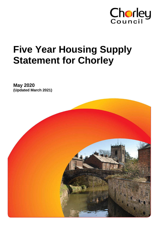

# **Five Year Housing Supply Statement for Chorley**

**May 2020 (Updated March 2021)**

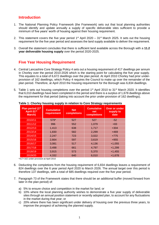# **Introduction**

- 1. The National Planning Policy Framework (the Framework) sets out that local planning authorities should identify and update annually a supply of specific deliverable sites sufficient to provide a minimum of five years' worth of housing against their housing requirement.
- 2. This statement covers the five year period  $1<sup>st</sup>$  April 2020 31<sup>st</sup> March 2025. It sets out the housing requirement for the five year period and assesses the land supply available to deliver the requirement.
- 3. Overall the statement concludes that there is sufficient land available across the Borough with a **11.2 year deliverable housing supply** over the period 2020-2025.

# **Five Year Housing Requirement**

- 4. Central Lancashire Core Strategy Policy 4 sets out a housing requirement of 417 dwellings per annum in Chorley over the period 2010-2026 which is the starting point for calculating the five year supply. This equates to a total of 6,672 dwellings over the plan period. At April 2010 Chorley had prior underprovision of 162 dwellings, which Policy 4 requires the Council to make up over the remainder of the plan period. Therefore, at April 2010 the housing requirement for the Borough was 6,834 dwellings.
- 5. Table 1 sets out housing completions over the period 1<sup>st</sup> April 2010 to 31<sup>st</sup> March 2020. It identifies that 6,010 dwellings have been completed in the period and there is a surplus of 1,678 dwellings above the requirement for that period (taking into account the prior under-provision of 162 dwellings).

| Plan period (1st<br>April-31 <sup>st</sup><br>March) | <b>Cumulative</b><br>requirement | <b>Net</b><br>completions | <b>Cumulative</b><br>net<br>completions | <b>Over or under</b><br>supply to<br>date |
|------------------------------------------------------|----------------------------------|---------------------------|-----------------------------------------|-------------------------------------------|
| 2010/11                                              | $579*$                           | 527                       | 527                                     | $-52$                                     |
| 2011/12                                              | 996                              | 552                       | 1,079                                   | $+83$                                     |
| 2012/13                                              | 1,413                            | 638                       | 1,717                                   | $+304$                                    |
| 2013/14                                              | 1,830                            | 582                       | 2,299                                   | $+469$                                    |
| 2014/15                                              | 2,247                            | 723                       | 3,022                                   | $+775$                                    |
| 2015/16                                              | 2,664                            | 597                       | 3,619                                   | $+955$                                    |
| 2016/17                                              | 3,081                            | 517                       | 4,136                                   | $+1,055$                                  |
| 2017/18                                              | 3,498                            | 661                       | 4,797                                   | $+1,299$                                  |
| 2018/19                                              | 3,915                            | 573                       | 5,370                                   | $+1,455$                                  |
| 2019/20                                              | 4,332                            | 640                       | 6,010                                   | $+1,678$                                  |

#### **Table 1: Chorley housing supply in relation to Core Strategy requirements**

\*417+162 under-provision at April 2010

- 6. Deducting the completions from the housing requirement of 6,834 dwellings leaves a requirement of 824 dwellings over the 6 year period April 2020 to March 2026. The annual target over this period is therefore 137 dwellings, with a total of 685 dwellings required over the five year period.
- 7. Paragraph 73 of the Framework states that there should be an additional buffer (moved forward from later in the plan period) of:
	- a) 5% to ensure choice and competition in the market for land; or
	- b) 10% where the local planning authority wishes to demonstrate a five year supply of deliverable sites through an annual position statement or recently adopted plan, to account for any fluctuations in the market during that year; or
	- c) 20% where there has been significant under delivery of housing over the previous three years, to improve the prospect of achieving the planned supply.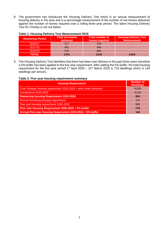8. The government has introduced the Housing Delivery Test which is an annual measurement of housing delivery in the area and is a percentage measurement of the number of net homes delivered against the number of homes required over a rolling three year period. The latest Housing Delivery Test for Chorley is set out below.

| <b>Monitoring Period</b> | <b>Total net homes</b><br>delivered | <b>Total number of</b><br>homes required | <b>Housing Delivery Test</b><br><b>Measurement</b> |
|--------------------------|-------------------------------------|------------------------------------------|----------------------------------------------------|
| 2016/17                  | 517                                 | 418                                      |                                                    |
| 2017/18                  | 661                                 | 494                                      |                                                    |
| 2018/19                  | 573                                 | 603                                      |                                                    |
| TOTAL                    | 1751                                | 1515                                     | 116%                                               |

#### **Table 1: Housing Delivery Test Measurement 2019**

9. The Housing Delivery Test identifies that there has been over delivery in the past three years therefore a 5% buffer has been applied to the five year requirement. After adding the 5% buffer, the total housing requirement for the five year period 1<sup>st</sup> April 2020 – 31<sup>st</sup> March 2025 is 719 dwellings which is 144 dwellings per annum**.**

## **Table 2: Five year housing requirement summary**

| <b>Housing Requirement</b>                                          | <b>Number of</b><br><b>Dwellings</b> |
|---------------------------------------------------------------------|--------------------------------------|
| Core Strategy housing requirement 2010-2026 + prior under provision | 6,834                                |
| Completions 2010-2020                                               | 6,010                                |
| <b>Remaining Housing Requirement 2020-2026</b>                      | 824                                  |
| Annual remaining housing requirement                                | 137                                  |
| Five year housing requirement 2020-2025                             | 685                                  |
| Five Year Housing Requirement 2020-2025 + 5% buffer                 | 719                                  |
| Annual Five year Housing Requirement 2019-2024 + 5% buffer          | 144                                  |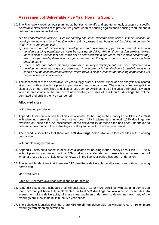# **Assessment of Deliverable Five Year Housing Supply**

10. The Framework requires local planning authorities to identify and update annually a supply of specific deliverable sites sufficient to provide five years' worth of housing against their housing requirement. It defines 'deliverable' as follows:

*"To be considered deliverable, sites for housing should be available now, offer a suitable location for development now, and be achievable with a realistic prospect that housing will be delivered on the site within five years. In particular:*

- *a) sites which do not involve major development and have planning permission, and all sites with detailed planning permission, should be considered deliverable until permission expires, unless there is clear evidence that homes will not be delivered within five years (for example because they are no longer viable, there is no longer a demand for the type of units or sites have long term phasing plans).*
- *b) where a site has outline planning permission for major development, has been allocated in a development plan, has a grant of permission in principle, or is identified on a brownfield register, it should only be considered deliverable where there is clear evidence that housing completions will begin on site within five years."*
- 11. The assessment of the deliverable five year supply is set out below. It includes an analysis of allocated sites, both with and without planning permission, and windfall sites. The windfall sites are split into sites of 10 or more dwellings and sites of less than 10 dwellings. It also includes a windfall allowance which is an estimate of the number of new dwellings on sites of less than 10 dwellings that will be permitted and built in the five year period.

#### **Allocated sites**

#### With planning permission

- 12. Appendix 1 sets out a schedule of all sites allocated for housing in the Chorley Local Plan 2012-2026 with planning permission that have not yet been fully implemented. In total 1,290 dwellings are available on these sites. An assessment of the deliverability of these sites has been undertaken to determine how many of these dwellings are likely to be built in the five year period.
- 13. The schedule identifies that there are **663 dwellings** deliverable on allocated sites with planning permission.

#### Without planning permission

- 14. Appendix 2 sets out a schedule of all sites allocated for housing in the Chorley Local Plan 2012-2026 without planning permission. In total 559 dwellings are allocated on these sites. An assessment of whether these sites are likely to come forward in the five year period has been undertaken.
- 15. The schedule identifies that there are **112 dwellings** deliverable on allocated sites without planning permission.

#### **Windfall sites**

#### Sites of 10 or more dwellings with planning permission

- 16. Appendix 3 sets out a schedule of all windfall sites of 10 or more dwellings with planning permission that have not yet been fully implemented. In total 503 dwellings are available on these sites. An assessment of the deliverability of these sites has been undertaken to determine how many of the dwellings are likely to be built in the five year period.
- 17. The schedule identifies that there are **410 dwellings** deliverable on windfall sites of 10 or more dwellings with planning permission.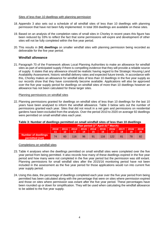#### Sites of less than 10 dwellings with planning permission

- 18. Appendix 3 also sets out a schedule of all windfall sites of less than 10 dwellings with planning permission that have not been fully implemented. In total 359 dwellings are available on these sites.
- 19. Based on an analysis of the completion rates of small sites in Chorley in recent years this figure has been reduced by 33% to reflect the fact that some permissions will expire and development of other sites will not be fully completed within the five year period.
- 20. This results in **241 dwellings** on smaller windfall sites with planning permission being recorded as deliverable for the five year period.

## **Windfall allowance**

21. Paragraph 70 of the Framework allows Local Planning Authorities to make an allowance for windfall sites as part of anticipated supply if there is compelling evidence that they will provide a reliable source of supply. It states that any allowance should be realistic having regard to the Strategic Housing Land Availability Assessment, historic windfall delivery rates and expected future trends. In accordance with this, Chorley makes an allowance for windfall sites of less than 10 dwellings in the five year supply as our records show that they have consistently become available. Applications will also be approved over the five year supply period for dwellings on windfall sites of more than 10 dwellings however an allowance has not been calculated for these larger sites.

#### Planning permissions on windfall sites

22. Planning permissions granted for dwellings on windfall sites of less than 10 dwellings for the last 10 years have been analysed to inform the windfall allowance. Table 3 below sets out the number of permissions granted each year. Sites that did not result in a net gain and permissions on residential gardens have been excluded from the analysis. Over the period 2010 to 2020 on average 92 dwellings were permitted on small windfall sites each year.

#### **Table 3: Number of dwellings permitted on small windfall sites of less than 10 dwellings**

|                                               | Plan period (1 <sup>st</sup> April-31 <sup>st</sup> March) |                                                                                                                 |     |    |    |     |     |  |  |    |  |  |  |  |  |
|-----------------------------------------------|------------------------------------------------------------|-----------------------------------------------------------------------------------------------------------------|-----|----|----|-----|-----|--|--|----|--|--|--|--|--|
|                                               | 2010/                                                      | 2013/<br>$2014/$ 2015/ 2016/ 2017/<br>2019/<br>2012/<br>2018/<br>$-2011/$<br>15<br><b>167</b><br>14<br>18<br>20 |     |    |    |     |     |  |  |    |  |  |  |  |  |
| <b>Number of dwellings</b><br>permitted (net) | 74                                                         | 60                                                                                                              | 116 | 96 | 91 | 116 | 122 |  |  | 82 |  |  |  |  |  |

Completions on windfall sites

- 23. Table 4 analyses when the dwellings permitted on small windfall sites were completed over the five year period from being permitted. It also records how many of these dwellings expired in the five year period and how many were not completed in the five year period but the permission was still extant. Planning permissions for small windfall sites after the 2015/16 monitoring period have not been included in the assessment as the five year period for those applications would run into current five year supply period.
- 24. Using this data, the percentage of dwellings completed each year over the five year period from being permitted has been calculated along with the percentage that were on sites where permission expired and those on sites where permission was extant after the five year period. These percentages have been rounded up or down for simplification. They will be used when calculating the windfall allowance to be added to the five year supply.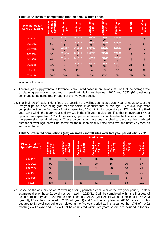| Plan period (1 <sup>st</sup><br>April-31 <sup>st</sup> March) | ៑<br>permitted<br>dwellings<br><b>Number</b> | Completions<br>٠<br>year  | Completions<br>$\mathbf{\tilde{c}}$<br>year | Completions<br>ო<br>year | Completions<br>₹<br>year | Completions<br>5<br>year  | Expired | <b>Extant after</b><br><b>years</b><br>ဖာ |
|---------------------------------------------------------------|----------------------------------------------|---------------------------|---------------------------------------------|--------------------------|--------------------------|---------------------------|---------|-------------------------------------------|
| 2010/11                                                       | 74                                           | 2010/11<br>$-1$           | 2011/12<br>4                                | 2012/13<br>21            | 2013/14<br>19            | 2014/15<br>4              | 14      | 13                                        |
| 2011/12                                                       | 60                                           | 2011/12<br>$\overline{2}$ | 2012/13<br>8                                | 2013/14<br>19            | 2014/15<br>12            | 2015/16<br>5              | 8       | 6                                         |
| 2012/13                                                       | 116                                          | 2012/13<br>8              | 2013/14<br>34                               | 2014/15<br>15            | 2015/16<br>19            | 2016/17<br>$\Omega$       | 23      | 17                                        |
| 2013/14                                                       | 96                                           | 2013/14<br>5              | 2014/15<br>32                               | 2015/16<br>17            | 2016/17<br>13            | 2017/18<br>$\overline{7}$ | 12      | 10                                        |
| 2014/15                                                       | 91                                           | 2014/15<br>6              | 2015/16<br>17                               | 2016/17<br>12            | 2017/18<br>19            | 2018/19<br>6              | 16      | 15                                        |
| 2015/16                                                       | 116                                          | 2015/16<br>$\overline{7}$ | 2016/17<br>24                               | 2017/18<br>10            | 2018/19<br>13            | 2019/20<br>11             | 21      | 30                                        |
| Total                                                         | 553                                          | 27                        | 119                                         | 94                       | 95                       | 33                        | 94      | 91                                        |
| Total %                                                       | 100%                                         | 5%                        | 22%                                         | 17%                      | 17%                      | 6%                        | 17%     | 16%                                       |

#### **Table 4: Analysis of completions (net) on small windfall sites**

#### Windfall allowance

- 25. The five year supply windfall allowance is calculated based upon the assumption that the average rate of planning permissions granted on small windfall sites between 2010 and 2020 (92 dwellings) continues at the same rate throughout the five year period.
- 26. The final row of Table 4 identifies the proportion of dwellings completed each year since 2010 over the five year period since being granted permission. It identifies that on average 5% of dwellings were completed within the first year of being permitted, 22% within the second year, 17% within the third year, 17% within the fourth year and 6% within the fifth year. It also identifies that on average 17% of applications expired and 16% of the dwellings permitted were not completed in the five year period but the permission remained extant. These percentages have been applied to calculate the predicted number of dwellings that will be permitted and built on small windfall sites over the next five years, as set out in Table 5.

| <b>Predictions</b>                                            |                                     |                                 |                                 |                                       |                                      |                                      |                             |  |  |  |  |  |
|---------------------------------------------------------------|-------------------------------------|---------------------------------|---------------------------------|---------------------------------------|--------------------------------------|--------------------------------------|-----------------------------|--|--|--|--|--|
| Plan period (1 <sup>st</sup><br>April-31 <sup>st</sup> March) | Number of<br>permitted<br>dwellings | Completions<br>(2019/20)<br>ear | Completions<br>(2020/21)<br>ear | Completions<br>(2021/22)<br>က<br>lear | Completions<br>(2022/23)<br>4<br>ear | Completions<br>(2023/24)<br>ம<br>ear | Completions<br><b>Total</b> |  |  |  |  |  |
| 2020/21                                                       | 92                                  | 5                               | 20                              | 16                                    | 16                                   | 6                                    | 63                          |  |  |  |  |  |
| 2021/22                                                       | 92                                  |                                 | 5                               | 20                                    | 16                                   | 16                                   | 57                          |  |  |  |  |  |
| 2022/23                                                       | 92                                  |                                 |                                 | 5                                     | 20                                   | 16                                   | 41                          |  |  |  |  |  |
| 2023/24                                                       | 92                                  |                                 |                                 |                                       | 5                                    | 20                                   | 25                          |  |  |  |  |  |
| 2024/25                                                       | 92                                  |                                 |                                 |                                       |                                      | 5                                    | 5                           |  |  |  |  |  |
| <b>Total</b>                                                  | 460                                 | 5                               | 25                              | 41                                    | 57                                   | 63                                   | 191                         |  |  |  |  |  |

**Table 5: Predicted completions (net) on small windfall sites over five year period 2020 - 2025**

27. Based on the assumption of 92 dwellings being permitted each year of the five year period, Table 5 estimates that of those 92 dwellings permitted in 2020/21, 5 will be completed within the first year of being permitted (year 1), 20 will be completed in 2021/22 (year 2), 16 will be completed in 2022/23 (year 3), 16 will be completed in 2023/24 (year 4) and 6 will be completed in 2024/25 (year 5). This equates to 63 dwellings being completed in the five year period as it is assumed that 17% of the 92 dwellings will expire and 16% will not be completed within five years so are not included in the five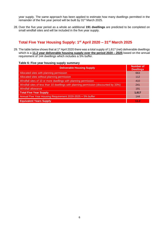year supply. The same approach has been applied to estimate how many dwellings permitted in the remainder of the five year period will be built by 31st March 2025.

28. Over the five year period as a whole an additional **191 dwellings** are predicted to be completed on small windfall sites and will be included in the five year supply.

# **Total Five Year Housing Supply: 1 st April 2020 – 31st March 2025**

29. The table below shows that at 1<sup>st</sup> April 2020 there was a total supply of 1,617 (net) deliverable dwellings which is a **11.2 year deliverable housing supply over the period 2020 – 2025** based on the annual requirement of 144 dwellings which includes a 5% buffer.

#### **Table 6: Five year housing supply summary**

| <b>Deliverable Housing Supply</b>                                                     | <b>Number of</b><br><b>Dwellings</b> |
|---------------------------------------------------------------------------------------|--------------------------------------|
| Allocated sites with planning permission                                              | 663                                  |
| Allocated sites without planning permission                                           | 112                                  |
| Windfall sites of 10 or more dwellings with planning permission                       | 410                                  |
| Windfall sites of less than 10 dwellings with planning permission (discounted by 33%) | 241                                  |
| <b>Windfall allowance</b>                                                             | 191                                  |
| <b>Total Five Year Supply</b>                                                         | 1,617                                |
| Annual Five Year Housing Requirement 2020-2025 + 5% buffer                            | 144                                  |
| <b>Equivalent Years Supply</b>                                                        | 11.2                                 |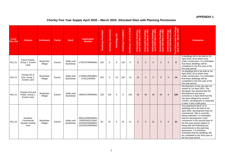## **APPENDIX 1**

# **Chorley Five Year Supply April 2020 – March 2025: Allocated Sites with Planning Permission**

| Local<br><b>Plan Ref</b> | <b>Address</b>                                     | <b>Settlement</b>          | <b>Parish</b> | <b>Ward</b>                   | <b>Application</b><br><b>Number</b>                                      | <b>Dwellings Permitted</b> | <b>Dwellings Not Started</b> | Dwellings U/C | <b>Dwellings Completed</b> | Dwellings Left to be Built | Deliverable Dwellings<br>April 2020-March 2021 | Deliverable Dwellings<br>April 2021-March 2022 | Deliverable Dwellings<br>April 2022-March 2023 | Deliverable Dwellings<br>April 2023-March 2024 | Deliverable Dwellings<br>April 2024-March 2025 | Total Deliverable Dwellings<br>April 2020 - March 2025 | <b>Comments</b>                                                                                                                                                                                                                                                                                                                                                                                                                                                         |
|--------------------------|----------------------------------------------------|----------------------------|---------------|-------------------------------|--------------------------------------------------------------------------|----------------------------|------------------------------|---------------|----------------------------|----------------------------|------------------------------------------------|------------------------------------------------|------------------------------------------------|------------------------------------------------|------------------------------------------------|--------------------------------------------------------|-------------------------------------------------------------------------------------------------------------------------------------------------------------------------------------------------------------------------------------------------------------------------------------------------------------------------------------------------------------------------------------------------------------------------------------------------------------------------|
| <b>HS1.21</b>            | Parcel H1b(ii),<br>Group 1, Euxton<br>Lane         | <b>Buckshaw</b><br>Village | Euxton        | Astley and<br><b>Buckshaw</b> | 17/00767/REMMAJ                                                          | 125                        | $\mathbf 0$                  | 9             | 116                        | 9                          | 9                                              | $\Omega$                                       | $\mathbf{0}$                                   | $\Omega$                                       | $\mathbf{0}$                                   | 9                                                      | 9 dwellings left to be built at 1st<br>April 2020, all of which were<br>under construction. It is estimated<br>that these dwellings will be<br>completed in the first year of the<br>five year period.                                                                                                                                                                                                                                                                  |
| HS1.21                   | Parcels M1 &<br>H1a, Group 1,<br>Euxton Lane       | <b>Buckshaw</b><br>Village | Euxton        | Astley and<br><b>Buckshaw</b> | 17/00441/REMMAJ<br>17/01123/REM                                          | 160                        | $\mathbf 0$                  | 14            | 146                        | 14                         | 14                                             | $\Omega$                                       | $\mathbf{0}$                                   | $\overline{0}$                                 | $\overline{0}$                                 | 14                                                     | 14 dwellings left to be built at 1st<br>April 2020, all of which were<br>under construction. It is estimated<br>that these dwellings will be<br>completed in the first year of the<br>five year period.                                                                                                                                                                                                                                                                 |
| <b>HS1.21</b>            | Parcels H1d and<br>H1b(i), Group 1,<br>Euxton Lane | <b>Buckshaw</b><br>Village | Euxton        | Astley and<br><b>Buckshaw</b> | 19/00137/REMMAJ                                                          | 128                        | 128                          | $\Omega$      | $\Omega$                   | 128                        | 20                                             | 36                                             | 36                                             | 36                                             | $\mathbf{0}$                                   | 128                                                    | Development of the site had not<br>started at 1st April 2020. The<br>developer has advised that the<br>development was due to<br>commence in April 2020 but this<br>has been delayed by several<br>months. Development is expected<br>to take 3 and a half years.                                                                                                                                                                                                       |
| <b>HS1.22</b>            | Southern<br>Commercial<br>Quarter Central<br>Core  | <b>Buckshaw</b><br>Village | Euxton        | Astley and<br><b>Buckshaw</b> | 08/01100/REMMAJ<br>10/00334/FULMAJ<br>10/01052/REMMAJ<br>12/01001/REMMAJ | 83                         | 31                           | $\mathbf 0$   | 52                         | 31                         | $\mathbf{0}$                                   | $\overline{0}$                                 | 31                                             | $\overline{0}$                                 | $\mathbf{0}$                                   | 31                                                     | One apartment block of 31<br>dwellings left to be built at 1st<br>April 2020, development had not<br>commenced. Site is currently<br>being marketed, it is estimated<br>that the development could<br>commence in the second year of<br>the five year period subject to<br>being sold and following any<br>amendments to the planning<br>permission. It is therefore<br>estimated that the dwellings will<br>be completed in the third year of<br>the five year period. |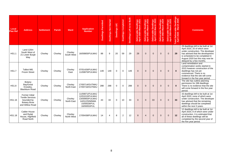| Local<br><b>Plan Ref</b> | <b>Address</b>                                                                                          | <b>Settlement</b> | <b>Parish</b> | <b>Ward</b>           | <b>Application</b><br><b>Number</b>                                                                    | <b>Dwellings Permitted</b> | <b>Dwellings Not Started</b> | Dwellings U/C | Dwellings Completed | Dwellings Left to be Built | Deliverable Dwellings<br>April 2020-March 2021 | Deliverable Dwellings<br>April 2021-March 2022 | Deliverable Dwellings<br>April 2022-March 2023 | le Dwellings<br>3-March 2024<br>Deliverable<br>April 2023-M | Deliverable Dwellings<br>April 2024-March 2025 | rable Dwellings<br>- March 2025<br>eliver<br>2020<br>otal De | <b>Comments</b>                                                                                                                                                                                                                                 |
|--------------------------|---------------------------------------------------------------------------------------------------------|-------------------|---------------|-----------------------|--------------------------------------------------------------------------------------------------------|----------------------------|------------------------------|---------------|---------------------|----------------------------|------------------------------------------------|------------------------------------------------|------------------------------------------------|-------------------------------------------------------------|------------------------------------------------|--------------------------------------------------------------|-------------------------------------------------------------------------------------------------------------------------------------------------------------------------------------------------------------------------------------------------|
| <b>HS1.1</b>             | Land 120m<br>South West of<br>21 Lower Burgh<br>Way                                                     | Chorley           | Chorley       | Chorley<br>South West | 16/00805/FULMAJ                                                                                        | 88                         | 9                            | 20            | 59                  | 29                         | 29                                             | $\Omega$                                       | $\Omega$                                       | $\Omega$                                                    | $\mathbf{0}$                                   | 29                                                           | 29 dwellings left to be built at 1st<br>April 2020, 20 of which were<br>under construction. The developer<br>has advised that the development<br>is scheduled to be completed in<br>August 2020 but this may now be<br>delayed by a few months. |
| <b>HS1.7</b>             | Talbot Mill,<br><b>Froom Street</b>                                                                     | Chorley           | Chorley       | Chorley<br>East       | 07/01426/FULMAJ<br>11/00875/FULMAJ                                                                     | 149                        | 149                          | $\mathbf 0$   | $\Omega$            | 149                        | $\Omega$                                       | $\Omega$                                       | $\Omega$                                       | $\Omega$                                                    | $\Omega$                                       | $\Omega$                                                     | Land remediation and<br>contamination works started in<br>2015 however construction of the<br>dwellings has not yet<br>commenced. There is no<br>evidence that the site will come<br>forward in the five year period.                           |
| <b>HS1.8</b>             | Botany<br>Bay/Great<br>Knowley,<br><b>Blackburn Road</b>                                                | Chorley           | Chorley       | Chorley<br>North East | 17/00714/OUTMAJ<br>17/00716/OUTMAJ                                                                     | 288                        | 288                          | 0             | $\Omega$            | 288                        | $\Omega$                                       | $\Omega$                                       | $\Omega$                                       | $\Omega$                                                    | $\Omega$                                       | $\mathbf{0}$                                                 | The site has outline planning<br>permission for 288 dwellings.<br>There is no evidence that the site<br>will come forward in the five year<br>period.                                                                                           |
| HS1.16                   | <b>Former Initial</b><br><b>Textile Services</b><br>bounded by<br><b>Botany Brow</b><br>and Willow Road | Chorley           | Chorley       | Chorley<br>North East | 11/00871/FULMAJ<br>12/01015/FULMAJ<br>13/00993/FULMAJ<br>14/01225/MNMA<br>15/00028/FUL<br>16/00053/FUL | 43                         | 33                           | $\mathbf 0$   | 10                  | 33                         | $\Omega$                                       | $\Omega$                                       | 33                                             | $\Omega$                                                    | $\Omega$                                       | 33                                                           | 33 dwellings left to be built at 1st<br>April 2020, none of which were<br>under construction. The developer<br>has advised that the remaining<br>dwellings should be completed<br>within the next 3 years.                                      |
| HS1.18                   | <b>Calder House</b><br>and Rydal<br>House, Highfield<br>Road North                                      | Chorley           | Chorley       | Chorley<br>North West | 17/00438/FULMAJ                                                                                        | 14                         | $\overline{4}$               | 8             | $\overline{2}$      | 12                         | 8                                              | $\overline{4}$                                 | $\mathbf{0}$                                   | $\Omega$                                                    | $\mathbf{0}$                                   | 12                                                           | 12 dwellings left to be built at 1st<br>April 2020, 8 of which were under<br>construction. It is estimated that<br>all of these dwellings will be<br>completed by the second year of<br>the five year period.                                   |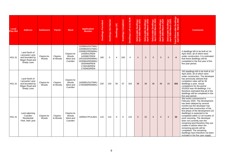| Local<br><b>Plan Ref</b> | <b>Address</b>                                                                    | <b>Settlement</b>    | Parish               | <b>Ward</b>                                 | <b>Application</b><br><b>Number</b>                                                                                                                                         | <b>Dwellings Permitted</b> | <b>Dwellings Not Started</b> | Dwellings U/C  | Dwellings Completed | Dwellings Left to be Built | Dwellings<br>March 2021<br>Deliverable L<br>April 2020-Ma | Deliverable Dwellings<br>April 2021-March 2022 | Deliverable Dwellings<br>April 2022-March 2023 | Deliverable Dwellings<br>April 2023-March 2024 | Deliverable Dwellings<br>April 2024-March 2025 | otal Deliverable Dwellings<br>April 2020 - March 2025 | <b>Comments</b>                                                                                                                                                                                                                                                                                                                                                                                                                                                                                                                           |
|--------------------------|-----------------------------------------------------------------------------------|----------------------|----------------------|---------------------------------------------|-----------------------------------------------------------------------------------------------------------------------------------------------------------------------------|----------------------------|------------------------------|----------------|---------------------|----------------------------|-----------------------------------------------------------|------------------------------------------------|------------------------------------------------|------------------------------------------------|------------------------------------------------|-------------------------------------------------------|-------------------------------------------------------------------------------------------------------------------------------------------------------------------------------------------------------------------------------------------------------------------------------------------------------------------------------------------------------------------------------------------------------------------------------------------------------------------------------------------------------------------------------------------|
| HS1.31                   | Land North of<br>Lancaster Lane<br>and bounded by<br>Wigan Road and<br>Shady Lane | Clayton-le-<br>Woods | Clayton-<br>le-Woods | Clayton-le-<br>Woods<br>West and<br>Cuerden | 12/00941/OUTMAJ<br>13/00803/OUTMAJ<br>13/00822/REMMAJ<br>14/00541/REM<br>14/00867/REM<br>14/01003/REMMAJ<br>15/00664/REMMAJ<br>16/00469/REM<br>17/00190/REM<br>17/00403/REM | 160                        | $\mathbf 0$                  | $\overline{4}$ | 156                 | $\overline{4}$             | $\overline{4}$                                            | $\mathbf{0}$                                   | $\mathbf 0$                                    | 0                                              | $\mathbf{0}$                                   | $\overline{4}$                                        | 4 dwellings left to be built at 1st<br>April 2020, all of which were<br>under construction. It is estimated<br>that these dwellings will be<br>completed in the first year of the<br>five year period.                                                                                                                                                                                                                                                                                                                                    |
| HS1.31                   | Land North of<br>Lancaster Lane<br>and bounded by<br>Wigan Road and<br>Shady Lane | Clayton-le-<br>Woods | Clayton-<br>le-Woods | Clayton-le-<br>Woods<br>West and<br>Cuerden | 14/00951/OUTMAJ<br>17/00369/REMMAJ                                                                                                                                          | 220                        | 133                          | 30             | 57                  | 163                        | 36                                                        | 36                                             | 36                                             | 36                                             | 19                                             | 163                                                   | 163 dwellings left to be built at 1st<br>April 2020, 30 of which were<br>under construction. The developer<br>has previously advised that<br>completion rates will be 36<br>dwellings a year. Actual<br>completions for the period<br>2019/20 was 49 dwellings. It is<br>therefore estimated that all of the<br>dwellings will be completed in the<br>five year period.                                                                                                                                                                   |
| HS1.31                   | Land adjoining<br>Cuerden<br>Residential<br>Park, Nell Lane                       | Clayton-le-<br>Woods | Clayton-<br>le-Woods | Clayton-le-<br>Woods<br>West and<br>Cuerden | 19/00417/FULMAJ                                                                                                                                                             | 115                        | 115                          | $\mathbf 0$    | $\Omega$            | 115                        | $\Omega$                                                  | 22                                             | $\mathbf{0}$                                   | $\overline{0}$                                 | $\Omega$                                       | 22                                                    | Site works commenced in<br>February 2020. The development<br>has been delayed by several<br>months but the developer has<br>advised that construction of the<br>first phase of the development (22<br>dwellings) is expected to be<br>completed within 12-18 months of<br>work resuming. The developer<br>does not currently own the<br>remaining land therefore they are<br>unable to advise when the<br>remaining parcels will be<br>completed. The remaining<br>dwellings have therefore not been<br>included in the five year supply. |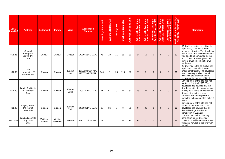| Local<br><b>Plan Ref</b> | <b>Address</b>                                | <b>Settlement</b>    | <b>Parish</b>        | Ward            | <b>Application</b><br><b>Number</b> | <b>Dwellings Permitted</b> | Dwellings Not Started | Dwellings U/C | Dwellings Completed | Dwellings Left to be Built | Deliverable Dwellings<br>April 2020-March 2021 | Deliverable Dwellings<br>April 2021-March 2022 | Deliverable Dwellings<br>April 2022-March 2023 | Deliverable Dwellings<br>April 2023-March 2024 | Deliverable Dwellings<br>April 2024-March 2025 | otal Deliverable Dwellings<br>April 2020 - March 2025 | <b>Comments</b>                                                                                                                                                                                                                                                                        |
|--------------------------|-----------------------------------------------|----------------------|----------------------|-----------------|-------------------------------------|----------------------------|-----------------------|---------------|---------------------|----------------------------|------------------------------------------------|------------------------------------------------|------------------------------------------------|------------------------------------------------|------------------------------------------------|-------------------------------------------------------|----------------------------------------------------------------------------------------------------------------------------------------------------------------------------------------------------------------------------------------------------------------------------------------|
| HS1.36                   | Coppull<br>Enterprise<br>Centre, Mill<br>Lane | Coppull              | Coppull              | Coppull         | 16/00656/FULMAJ                     | 75                         | 28                    | 11            | 36                  | 39                         | 24                                             | 15                                             | $\Omega$                                       | $\Omega$                                       | $\mathbf{0}$                                   | 39                                                    | 39 dwellings left to be built at 1st<br>April 2020, 11 of which were<br>under construction. The developer<br>has advised that the development<br>was due to be completed by the<br>end of 2020 however given the<br>current situation completion will<br>be delayed.                   |
| HS1.39                   | Land<br>surrounding 89<br>Euxton Lane         | Euxton               | Euxton               | Euxton<br>North | 16/00380/OUTMAJ<br>17/00356/REMMAJ  | 140                        | 6                     | 20            | 114                 | 26                         | 26                                             | $\Omega$                                       | $\mathbf{0}$                                   | $\mathbf{0}$                                   | $\mathbf{0}$                                   | 26                                                    | 26 dwellings left to be built at 1st<br>April 2020, 20 of which were<br>under construction. The developer<br>has previously advised that all<br>dwellings are expected to be<br>completed by the end of 2020.                                                                          |
| HS1.40                   | Land 10m South<br>of Dunrobin<br><b>Drive</b> | Euxton               | Euxton               | Euxton<br>South | 18/01211/FULMAJ                     | 51                         | 51                    | $\Omega$      | $\Omega$            | 51                         | 18                                             | 25                                             | 8                                              | $\Omega$                                       | $\Omega$                                       | 51                                                    | Development of the site had not<br>started at 1st April 2020. The<br>developer has advised that the<br>development is due to commence<br>in May 2020 however this may be<br>delayed due to the current<br>situation. The development is<br>expected to be completed within 2<br>vears. |
| <b>HS1.42</b>            | Playing field to<br>the rear of<br>Greenside  | Euxton               | Euxton               | Euxton<br>North | 19/00361/FULMAJ                     | 36                         | 36                    | $\mathbf 0$   | $\mathbf 0$         | 36                         | $\Omega$                                       | 36                                             | $\mathbf{0}$                                   | $\mathbf{0}$                                   | $\mathbf{0}$                                   | 36                                                    | Development of the site had not<br>started at 1st April 2020. The<br>developer has advised that all<br>these dwellings are due for<br>completion in 2021/22.                                                                                                                           |
| <b>HS1.43A</b>           | Land adjacent to<br>Lady Cross<br>Drive       | Whittle-le-<br>Woods | Whittle-<br>le-Woods | Pennine         | 17/00377/OUTMAJ                     | 12                         | 12                    | $\Omega$      | $\Omega$            | 12                         | $\Omega$                                       | $\Omega$                                       | $\Omega$                                       | $\Omega$                                       | $\Omega$                                       | $\bf{0}$                                              | The site has outline planning<br>permission for 12 dwellings.<br>There is no evidence that the site<br>will come forward in the five year<br>period.                                                                                                                                   |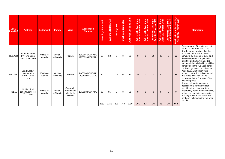| Local<br><b>Plan Ref</b> | <b>Address</b>                                     | <b>Settlement</b>    | <b>Parish</b>        | Ward                                             | <b>Application</b><br><b>Number</b> | Permitted<br><b>Dwellings</b> | Dwellings Not Started | Dwellings U/C | Dwellings Completed | Dwellings Left to be Built | Deliverable Dwellings<br>April 2020-March 2021 | Deliverable Dwellings<br>April 2021-March 2022 | Deliverable Dwellings<br>April 2022-March 2023 | Deliverable Dwellings<br>April 2023-March 2024 | Deliverable Dwellings<br>April 2024-March 2025 | Dwellings<br>beliverable I<br>2020 - Mar<br><b>April</b><br>ota | <b>Comments</b>                                                                                                                                                                                                                                                                                                              |
|--------------------------|----------------------------------------------------|----------------------|----------------------|--------------------------------------------------|-------------------------------------|-------------------------------|-----------------------|---------------|---------------------|----------------------------|------------------------------------------------|------------------------------------------------|------------------------------------------------|------------------------------------------------|------------------------------------------------|-----------------------------------------------------------------|------------------------------------------------------------------------------------------------------------------------------------------------------------------------------------------------------------------------------------------------------------------------------------------------------------------------------|
| <b>HS1.43B</b>           | Land bounded<br>by Town Lane<br>and Lucas Lane     | Whittle-le-<br>Woods | Whittle-<br>le-Woods | Pennine                                          | 13/01055/OUTMAJ<br>19/00830/REMMAJ  | 53                            | 53                    | 0             | 0                   | 53                         | $\Omega$                                       | $\Omega$                                       | 30                                             | 23                                             | $\overline{0}$                                 | 53                                                              | Development of the site had not<br>started at 1st April 2020. The<br>developer has advised that the<br>purchase of the site is due to<br>complete by the end of June and<br>the development is expected to<br>take two and a half years. It is<br>estimated that all dwellings will be<br>completed in the five year period. |
| <b>HS1.43C</b>           | Land west of<br>Leatherlands<br>Farm, Moss<br>Lane | Whittle-le-<br>Woods | Whittle-<br>le-Woods | Pennine                                          | 14/00900/OUTMAJ<br>16/00247/FULMAJ  | 34                            | 0                     | 13            | 21                  | 13                         | 13                                             | $\overline{0}$                                 | $\mathbf 0$                                    | $\overline{0}$                                 | $\overline{0}$                                 | 13                                                              | 13 dwellings left to be built at 1st<br>April 2020, all of which were<br>under construction. It is expected<br>that these dwellings will be<br>completed in the first year of the<br>five year period.                                                                                                                       |
| HS1.53                   | JF Electrical,<br>Little Quarry, Hill<br>Top Lane  | Whittle-le-<br>Woods | Whittle-<br>le-Woods | Clayton-le-<br>Woods and<br>Whittle-le-<br>Woods | 12/01134/OUTMAJ                     | 85                            | 85                    | $\mathbf 0$   | $\mathbf 0$         | 85                         | $\Omega$                                       | $\Omega$                                       | $\overline{0}$                                 | $\mathbf 0$                                    | $\mathbf{0}$                                   | $\mathbf{0}$                                                    | A reserved matters planning<br>application is currently under<br>consideration. However, there is<br>uncertainty about the deliverability<br>of this site due to issues relating<br>to filling works. It has therefore<br>not been included in the five year<br>supply.                                                      |
|                          |                                                    |                      |                      |                                                  |                                     | 2059                          | 1161                  | 129           | 769                 | 1290                       | 201                                            | 174                                            | 174                                            | 95                                             | 19                                             | 663                                                             |                                                                                                                                                                                                                                                                                                                              |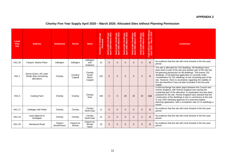#### **APPENDIX 2**

# **Chorley Five Year Supply April 2020 – March 2025: Allocated Sites without Planning Permission**

| Local<br>Plan<br>Ref | <b>Address</b>                                                | <b>Settlement</b>      | <b>Parish</b>        | <b>Ward</b>                          | <b>Number of Dwellings</b><br>Allocated | Deliverable Dwellings<br>April 2020-March 2021 | Deliverable Dwellings<br>April 2021-March 2022 | Deliverable Dwellings<br>April 2022-March 2023 | Deliverable Dwellings<br>April 2023-March 2024 | Deliverable Dwellings<br>April 2024-March 2025 | Total Deliverable Dwellings<br>April 2020 - March 2025 | <b>Comments</b>                                                                                                                                                                                                                                                                                                                                                                                                                                                        |
|----------------------|---------------------------------------------------------------|------------------------|----------------------|--------------------------------------|-----------------------------------------|------------------------------------------------|------------------------------------------------|------------------------------------------------|------------------------------------------------|------------------------------------------------|--------------------------------------------------------|------------------------------------------------------------------------------------------------------------------------------------------------------------------------------------------------------------------------------------------------------------------------------------------------------------------------------------------------------------------------------------------------------------------------------------------------------------------------|
| HS1.26               | Fairport, Market Place                                        | Adlington              | Adlington            | Adlington<br>and<br>Anderton         | 31                                      | $\overline{0}$                                 | $\overline{0}$                                 | $\Omega$                                       | $\overline{0}$                                 | $\overline{0}$                                 | $\bf{0}$                                               | No evidence that the site will come forward in the five year<br>period.                                                                                                                                                                                                                                                                                                                                                                                                |
| <b>HS1.1</b>         | Eaves Green, off Lower<br>Burgh Way (remaining<br>allocation) | Chorley                | Chorley/<br>Coppull  | Chorley<br>South<br>West/<br>Coppull | 232                                     | $\overline{0}$                                 | $\mathbf 0$                                    | $\Omega$                                       | $\mathbf 0$                                    | $\overline{0}$                                 | $\Omega$                                               | The site is allocated for 419 dwellings. 99 dwellings have<br>been built on part of the site and another part of the site has<br>full planning permission for 88 dwellings. This leaves 232<br>dwellings. A full planning application is currently under<br>consideration for 201 dwellings on the remaining part of the<br>site. However, there is uncertainty regarding the viability of<br>this site therefore it has not been included in the five year<br>supply. |
| <b>HS1.5</b>         | <b>Cowling Farm</b>                                           | Chorley                | Chorley              | Chorley<br>East                      | 158                                     | $\Omega$                                       | $\Omega$                                       | 28                                             | 42                                             | 42                                             | 112                                                    | A land exchange has taken place between the Council and<br>Homes England, with Homes England now owning the<br>residential part of the allocation. A masterplan has also been<br>prepared for the site. Homes England have advised that the<br>construction of the dwellings is due to commence at the end<br>of July 2022 following approval of a reserved matters<br>planning application, with a completion rate of 3.5 dwellings a<br>month.                       |
| <b>HS1.17</b>        | Cabbage Hall Fields                                           | Chorley                | Chorley              | Chorley<br>North East                | 11                                      | $\Omega$                                       | $\Omega$                                       | $\Omega$                                       | $\Omega$                                       | $\Omega$                                       | $\Omega$                                               | No evidence that the site will come forward in the five year<br>period.                                                                                                                                                                                                                                                                                                                                                                                                |
| HS1.19               | Land adjacent to<br>Northgate                                 | Chorley                | Chorley              | Chorley<br>North East                | 21                                      | $\Omega$                                       | $\Omega$                                       | $\Omega$                                       | $\Omega$                                       | $\overline{0}$                                 | $\mathbf{0}$                                           | No evidence that the site will come forward in the five year<br>period.                                                                                                                                                                                                                                                                                                                                                                                                |
| HS1.29               | Westwood Road                                                 | Clayton<br>Brook/Green | Clayton-le-<br>Woods | Clayton-le-<br>Woods<br><b>North</b> | 23                                      | $\overline{0}$                                 | $\Omega$                                       | $\Omega$                                       | $\Omega$                                       | $\overline{0}$                                 | $\mathbf{0}$                                           | No evidence that the site will come forward in the five year<br>period.                                                                                                                                                                                                                                                                                                                                                                                                |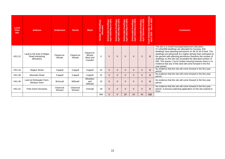| Local<br>Plan<br>Ref | <b>Address</b>                                              | <b>Settlement</b>    | <b>Parish</b>        | Ward                                        | Number of Dwellings<br>Allocated | Deliverable Dwellings<br>April 2020-March 2021 | Deliverable Dwellings<br>April 2021-March 2022 | Deliverable Dwellings<br>April 2022-March 2023 | Deliverable Dwellings<br>April 2023-March 2024 | Deliverable Dwellings<br>April 2024-March 2025 | Total Deliverable Dwellings<br>April 2020 - March 2025 | <b>Comments</b>                                                                                                                                                                                                                                                                                                                                                                                                                                                                                                              |
|----------------------|-------------------------------------------------------------|----------------------|----------------------|---------------------------------------------|----------------------------------|------------------------------------------------|------------------------------------------------|------------------------------------------------|------------------------------------------------|------------------------------------------------|--------------------------------------------------------|------------------------------------------------------------------------------------------------------------------------------------------------------------------------------------------------------------------------------------------------------------------------------------------------------------------------------------------------------------------------------------------------------------------------------------------------------------------------------------------------------------------------------|
| HS1.31               | Land to the East of Wigan<br>Road (remaining<br>allocation) | Clayton-le-<br>Woods | Clayton-le-<br>Woods | Clayton-le-<br>Woods<br>West and<br>Cuerden | $\Omega$                         | $\Omega$                                       | $\overline{0}$                                 | $\Omega$                                       | $\mathbf 0$                                    | $\mathbf 0$                                    | $\bf{0}$                                               | The site is a mixed housing/employment allocation.<br>37.14ha/699 dwellings are allocated for housing. 818<br>dwellings have planning permission on 36.14 ha of land. The<br>dwellings are being built at a higher density than estimated on<br>the parcels with planning permission therefore the number of<br>dwellings on this site has exceeded the allocated number of<br>699. This leaves 1 ha for further housing however there is no<br>evidence that any of this land will come forward in the five<br>year period. |
| HS1.34               | <b>Regent Street</b>                                        | Coppull              | Coppull              | Coppull                                     | 22                               | $\Omega$                                       | $\Omega$                                       | $\Omega$                                       | $\Omega$                                       | $\overline{0}$                                 | $\mathbf{0}$                                           | No evidence that the site will come forward in the five year<br>period.                                                                                                                                                                                                                                                                                                                                                                                                                                                      |
| <b>HS1.38</b>        | <b>Mountain Road</b>                                        | Coppull              | Coppull              | Coppull                                     | 22                               | $\overline{0}$                                 | $\mathbf 0$                                    | $\Omega$                                       | $\mathbf 0$                                    | $\mathbf{0}$                                   | $\Omega$                                               | No evidence that the site will come forward in the five year<br>period.                                                                                                                                                                                                                                                                                                                                                                                                                                                      |
| HS1.46               | Land at Drinkwater Farm,<br><b>Windsor Drive</b>            | <b>Brinscall</b>     | Withnell             | Wheelton<br>and<br>Withnell                 | 10                               | $\Omega$                                       | $\Omega$                                       | $\Omega$                                       | $\Omega$                                       | $\Omega$                                       | $\mathbf{0}$                                           | No evidence that the site will come forward in the five year<br>period.                                                                                                                                                                                                                                                                                                                                                                                                                                                      |
| HS1.52               | <b>Pole Green Nurseries</b>                                 | Charnock<br>Richard  | Charnock<br>Richard  | Chisnall                                    | 29                               | $\Omega$                                       | $\mathbf 0$                                    | $\Omega$                                       | $\Omega$                                       | $\mathbf 0$                                    | $\mathbf{0}$                                           | No evidence that the site will come forward in the five year<br>period. A previous planning application on the site expired in<br>2014.                                                                                                                                                                                                                                                                                                                                                                                      |
|                      |                                                             |                      |                      |                                             | 559                              | $\mathbf{0}$                                   | $\overline{0}$                                 | 28                                             | 42                                             | 42                                             | 112                                                    |                                                                                                                                                                                                                                                                                                                                                                                                                                                                                                                              |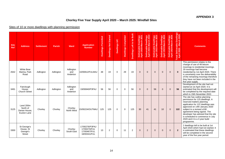## **APPENDIX 3**

# **Chorley Five Year Supply April 2020 – March 2025: Windfall Sites**

## Sites of 10 or more dwellings with planning permission

| <b>Site</b><br><b>Ref</b> | <b>Address</b>                                        | <b>Settlement</b> | <b>Parish</b> | <b>Ward</b>                  | <b>Application</b><br><b>Number</b>                            | Permitted<br>Dwellings | <b>Dwellings Not Started</b> | Dwellings U/C | <b>Dwellings Completed</b> | Dwellings Left to be Built | Deliverable Dwellings<br>April 2020-March 2021 | Deliverable Dwellings<br>April 2021-March 2022 | Deliverable Dwellings<br>April 2022-March 2023 | Deliverable Dwellings<br>April 2023-March 2024 | <b>ile Dwellings</b><br>1-March 2025<br>Deliverable<br>April 2024-l | Total Deliverable Dwellings<br>April 2020 - March 2025 | <b>Comments</b>                                                                                                                                                                                                                                                                                                                                           |
|---------------------------|-------------------------------------------------------|-------------------|---------------|------------------------------|----------------------------------------------------------------|------------------------|------------------------------|---------------|----------------------------|----------------------------|------------------------------------------------|------------------------------------------------|------------------------------------------------|------------------------------------------------|---------------------------------------------------------------------|--------------------------------------------------------|-----------------------------------------------------------------------------------------------------------------------------------------------------------------------------------------------------------------------------------------------------------------------------------------------------------------------------------------------------------|
| 2642                      | <b>White Bear</b><br>Marina, Park<br>Road             | Adlington         | Adlington     | Adlington<br>and<br>Anderton | 10/00812/FULMAJ                                                | 48                     | 19                           | $\Omega$      | 29                         | 19                         | $\Omega$                                       | $\Omega$                                       | $\Omega$                                       | $\Omega$                                       | $\Omega$                                                            | $\bf{0}$                                               | This permission relates to the<br>change of use of 48 leisure<br>moorings to residential moorings.<br>29 moorings had become<br>residential by 1st April 2020. There<br>is uncertainty over the deliverability<br>of the remaining moorings therefore<br>they have not been included in the<br>five year supply.                                          |
| 3491                      | Fairclough<br>House,<br><b>Church Street</b>          | Adlington         | Adlington     | Adlington<br>and<br>Anderton | 19/00840/P3PAJ                                                 | 56                     | 56                           | $\Omega$      | $\Omega$                   | 56                         | $\Omega$                                       | $\Omega$                                       | 56                                             | $\Omega$                                       | $\Omega$                                                            | 56                                                     | Development of the site had not<br>started at 1st April 2020. It is<br>estimated that the development will<br>be completed by the required date<br>which is 15th November 2022.                                                                                                                                                                           |
| 3125                      | Land 200m<br>North of<br>Derian House.<br>Euxton Lane | Chorley           | Chorley       | Chorley<br>North West        | 5/00224/OUTMAJ                                                 | 125                    | 125                          | $\Omega$      | $\Omega$                   | 125                        | 30                                             | 41                                             | 41                                             | 10                                             | $\overline{0}$                                                      | $122$                                                  | The site has outline planning<br>permission for 125 dwellings. A<br>reserved matters planning<br>application for 122 dwellings was<br>approved on 14th January 2020<br>subject to a revised s106<br>agreement being signed. The<br>developer has advised that the site<br>is scheduled to commence in July<br>2020 and it is a 3 year build<br>programme. |
| 3300                      | St George's<br>House, St<br>George's<br><b>Street</b> | Chorley           | Chorley       | Chorley<br>South East        | 17/00276/P3PAJ<br>17/00270/FUL<br>17/00467/FUL<br>18/00341/FUL | 13                     | 2                            | 0             | 11                         | $\overline{2}$             | $\Omega$                                       | $\overline{2}$                                 | $\mathbf{0}$                                   | $\mathbf 0$                                    | $\mathbf 0$                                                         | $\overline{2}$                                         | 2 dwellings left to be built at 1st<br>April 2020 which had not started. It<br>is estimated that these dwellings<br>will be completed in the second<br>year of the five year period.                                                                                                                                                                      |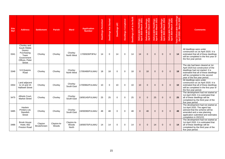| <b>Site</b><br><b>Ref</b> | <b>Address</b>                                                                                                        | <b>Settlement</b>      | <b>Parish</b>        | <b>Ward</b>                   | <b>Application</b><br><b>Number</b> | <b>Dwellings Permitted</b> | Dwellings Not Started | Dwellings U/C | <b>Dwellings Completed</b> | Dwellings Left to be Built | Deliverable Dwellings<br>April 2020-March 2021 | Deliverable Dwellings<br>April 2021-March 2022 | Deliverable Dwellings<br>April 2022-March 2023 | Deliverable Dwellings<br>April 2023-March 2024 | erable Dwellings<br>2024-March 2025<br>Deliverable<br>April 2024-Mi | rellings<br>Total Deliverable Dw<br>April 2020 - March | <b>Comments</b>                                                                                                                                                                                                         |
|---------------------------|-----------------------------------------------------------------------------------------------------------------------|------------------------|----------------------|-------------------------------|-------------------------------------|----------------------------|-----------------------|---------------|----------------------------|----------------------------|------------------------------------------------|------------------------------------------------|------------------------------------------------|------------------------------------------------|---------------------------------------------------------------------|--------------------------------------------------------|-------------------------------------------------------------------------------------------------------------------------------------------------------------------------------------------------------------------------|
| 3341                      | Chorley and<br>South Ribble<br><b>District</b><br>Purchasing<br>Team<br>Government<br>Offices, Peter<br><b>Street</b> | Chorley                | Chorley              | Chorley<br>North West         | 17/00929/P3PAJ                      | 14                         | $\Omega$              | 14            | $\Omega$                   | 14                         | 14                                             | $\Omega$                                       | $\Omega$                                       | $\Omega$                                       | $\mathbf{0}$                                                        | 14                                                     | All dwellings were under<br>construction at 1st April 2020. It is<br>estimated that all of these dwellings<br>will be completed in the first year of<br>the five year period.                                           |
| 3348                      | 5-9 Queens<br>Road                                                                                                    | Chorley                | Chorlev              | Chorley<br>North West         | 17/00490/FULMAJ                     | 18                         | 18                    | $\Omega$      | $\Omega$                   | 18                         | $\Omega$                                       | 18                                             | $\Omega$                                       | $\Omega$                                       | $\mathbf{0}$                                                        | 18                                                     | The site had been cleared at 1st<br>April 2020 but construction of the<br>dwellings had not started. It is<br>estimated that all of these dwellings<br>will be completed in the second<br>year of the five year period. |
| 3354                      | Land adjacent<br>to 13 and 15<br><b>Halliwell Street</b>                                                              | Chorley                | Chorley              | Chorley<br>South East         | 17/00962/FULMAJ                     | 10                         | $\Omega$              | 10            | $\Omega$                   | 10                         | 10                                             | $\Omega$                                       | $\Omega$                                       | $\Omega$                                       | $\mathbf{0}$                                                        | 10                                                     | All dwellings were under<br>construction at 1st April 2020. It is<br>estimated that all of these dwellings<br>will be completed in the first year of<br>the five year period.                                           |
| 3475                      | Alfreds Court.<br><b>Market Street</b>                                                                                | Chorley                | Chorley              | Chorley<br>South East         | 19/00145/FULMAJ                     | 25                         | 25                    | $\Omega$      | $\Omega$                   | 25                         | $\Omega$                                       | $\Omega$                                       | 25                                             | $\Omega$                                       | $\Omega$                                                            | 25                                                     | The development had not started at<br>1st April 2020. It is estimated that<br>all of these dwellings will be<br>completed by the third year of the<br>five year period.                                                 |
| 3485                      | Haslem<br>Printers Ltd.<br>Standish<br><b>Street</b>                                                                  | Chorley                | Chorley              | Chorley<br>South East         | 19/00090/FULMAJ                     | 48                         | 48                    | $\Omega$      | $\Omega$                   | 48                         | $\Omega$                                       | 48                                             | $\Omega$                                       | $\Omega$                                       | $\Omega$                                                            | 48                                                     | The development had not started at<br>1st April 2020. The agent has<br>advised that the scheme will be<br>amended and a new planning<br>application submitted and estimates<br>completion in 2021/22.                   |
| 3486                      | <b>Brook House</b><br>Hotel, 662<br>Preston Road                                                                      | Clayton<br>Brook/Green | Clayton-le-<br>Woods | Clayton-le-<br>Woods<br>North | 19/00075/FULMAJ                     | 14                         | 14                    | $\Omega$      | $\Omega$                   | 14                         | $\Omega$                                       | $\Omega$                                       | 14                                             | $\Omega$                                       | $\Omega$                                                            | 14                                                     | The development had not started at<br>1st April 2020. It is estimated that<br>all of these dwellings will be<br>completed by the third year of the<br>five year period.                                                 |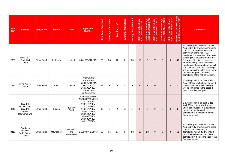| <b>Site</b><br><b>Ref</b> | <b>Address</b>                                                  | <b>Settlement</b>  | <b>Parish</b>     | <b>Ward</b>                   | <b>Application</b><br><b>Number</b>                                                                                                                                                | <b>Dwellings Permitted</b> | <b>Dwellings Not Started</b> | Dwellings U/C  | Dwellings Completed | Dwellings Left to be Built | Deliverable Dwellings<br>April 2020-March 2021 | Deliverable Dwellings<br>April 2021-March 2022 | Deliverable Dwellings<br>April 2022-March 2023 | Deliverable Dwellings<br>April 2023-March 2024 | Deliverable Dwellings<br>April 2024-March 2025 | rable Dwellings<br>) - March 2025<br>otal Delivera<br>April 2020<br>ota | <b>Comments</b>                                                                                                                                                                                                                                                                                                                                                                                                                                                                                           |
|---------------------------|-----------------------------------------------------------------|--------------------|-------------------|-------------------------------|------------------------------------------------------------------------------------------------------------------------------------------------------------------------------------|----------------------------|------------------------------|----------------|---------------------|----------------------------|------------------------------------------------|------------------------------------------------|------------------------------------------------|------------------------------------------------|------------------------------------------------|-------------------------------------------------------------------------|-----------------------------------------------------------------------------------------------------------------------------------------------------------------------------------------------------------------------------------------------------------------------------------------------------------------------------------------------------------------------------------------------------------------------------------------------------------------------------------------------------------|
| 2933                      | Bank Hall,<br><b>Bank Hall</b><br>Drive                         | <b>Other Rural</b> | <b>Bretherton</b> | Lostock                       | 09/01021/FULMAJ                                                                                                                                                                    | 35                         | 23                           | 12             | $\Omega$            | 35                         | 12                                             | $\Omega$                                       | 23                                             | $\Omega$                                       | $\Omega$                                       | 35                                                                      | 35 dwellings left to be built at 1st<br>April 2020, 12 of which were under<br>construction which relate to the<br>conversion of the hall to 12<br>dwellings. It is estimated that these<br>dwellings will be completed in the<br>first year of the five year period.<br>The remaining 23 are new build<br>dwellings in the grounds of the hall.<br>It is estimated that these dwellings<br>will be completed in the third year of<br>the five year period following<br>completion of the hall conversion. |
| 2933                      | 127A Station<br>Road                                            | <b>Other Rural</b> | Croston           | Lostock                       | 12/00942/FUL<br>14/00315/FUL<br>15/00953/FULMAJ<br>15/01040/OUT<br>16/01032/REM<br>16/00292/FUL<br>18/00773/FUL                                                                    | 12                         | $\overline{2}$               | $\Omega$       | 10                  | $\overline{2}$             | $\Omega$                                       | 2                                              | $\mathbf{0}$                                   | $\Omega$                                       | $\mathbf{0}$                                   | $\overline{2}$                                                          | 2 dwellings left to be built at 1st<br>April 2020 which had not started. It<br>is estimated that these dwellings<br>will be completed in the second<br>year of the five year period.                                                                                                                                                                                                                                                                                                                      |
| 3219                      | Gleadhill<br>House Stud.<br>Gleadhill<br>House,<br>Dawbers Lane | <b>Other Rural</b> | Euxton            | Euxton<br>South               | 16/00633/OUTMAJ<br>17/00806/REMMAJ<br>17/01172/REM<br>17/01173/REM<br>17/01174/REM<br>17/01175/REM<br>18/00166/REM<br>18/00448/REM<br>18/00825/REM<br>18/00854/REM<br>18/01186/REM | 12                         | $\Omega$                     | $\overline{2}$ | 10                  | $\overline{2}$             | 2                                              | $\Omega$                                       | $\Omega$                                       | $\Omega$                                       | $\Omega$                                       | $\overline{2}$                                                          | 2 dwellings left to be built at 1st<br>April 2020, both of which were<br>under construction. It is estimated<br>that these dwellings will be<br>completed in the first year of the<br>five year period.                                                                                                                                                                                                                                                                                                   |
| 3419                      | Goodyear<br><b>Business</b><br>Park, Gorsey<br>Lane             | <b>Other Rural</b> | Mawdesley         | Eccleston<br>and<br>Mawdesley | 17/01097/REMMAJ                                                                                                                                                                    | 56                         | 36                           | 17             | 3                   | 53                         | 30                                             | 23                                             | $\mathbf 0$                                    | $\mathbf{0}$                                   | $\mathbf{0}$                                   | 53                                                                      | 53 dwellings left to be built at 1st<br>April 2020, 17 of which were under<br>construction. Assuming a<br>completion rate of 30 dwellings a<br>year the development would be<br>completed in the second year of the<br>five year period.                                                                                                                                                                                                                                                                  |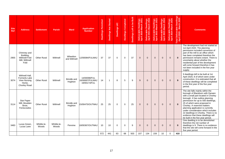| <b>Site</b><br><b>Ref</b> | <b>Address</b>                                                                  | <b>Settlement</b>    | <b>Parish</b>        | <b>Ward</b>              | <b>Application</b><br><b>Number</b>             | <b>Dwellings Permitted</b> | <b>Dwellings Not Started</b> | Dwellings U/C | <b>Dwellings Completed</b> | Dwellings Left to be Built | Deliverable Dwellings<br>April 2020-March 2021 | le Dwellings<br>1-March 2022<br><b>Deliverable</b><br>April 2021 | Deliverable Dwellings<br>April 2022-March 2023 | Deliverable Dwellings<br>April 2023-March 2024 | Deliverable Dwellings<br>April 2024-March 2025 | rellings<br>2025<br>နီ န<br>rable<br>- Mar<br><b>Total Delivera</b><br>April 2020 | <b>Comments</b>                                                                                                                                                                                                                                                                                                                                                                                                                                      |
|---------------------------|---------------------------------------------------------------------------------|----------------------|----------------------|--------------------------|-------------------------------------------------|----------------------------|------------------------------|---------------|----------------------------|----------------------------|------------------------------------------------|------------------------------------------------------------------|------------------------------------------------|------------------------------------------------|------------------------------------------------|-----------------------------------------------------------------------------------|------------------------------------------------------------------------------------------------------------------------------------------------------------------------------------------------------------------------------------------------------------------------------------------------------------------------------------------------------------------------------------------------------------------------------------------------------|
| 2955                      | Chimney and<br>Building,<br><b>Withnell Fold</b><br>Mill, Withnell<br>Fold      | <b>Other Rural</b>   | Withnell             | Wheelton<br>and Withnell | 12/00084/FULMAJ                                 | 37                         | 37                           | $\Omega$      | $\Omega$                   | 37                         | $\Omega$                                       | $\mathbf{0}$                                                     | $\mathbf{0}$                                   | $\Omega$                                       | $\mathbf{0}$                                   | $\mathbf{0}$                                                                      | The development had not started at<br>1st April 2020. The planning<br>permission included conversion of<br>part of the mill to an office which<br>has been completed therefore the<br>permission remains extant. There is<br>uncertainty about whether the<br>residential part of the development<br>will come forward therefore it has<br>not been included in the five year<br>supply.                                                             |
| 3074                      | Withnell Hall.<br>Formerly Lake<br><b>View Nursing</b><br>Home,<br>Chorley Road | <b>Other Rural</b>   | Withnell             | Brindle and<br>Hoghton   | 14/00098/FUL<br>16/00697/FULMAJ<br>19/00173/FUL | 14                         | $\mathbf{1}$                 | 8             | 5                          | 9                          | 9                                              | $\Omega$                                                         | $\Omega$                                       | $\Omega$                                       | $\Omega$                                       | 9                                                                                 | 9 dwellings left to be built at 1st<br>April 2020, 8 of which were under<br>construction. It is estimated that all<br>of these dwellings will be completed<br>in the first year of the five year<br>period.                                                                                                                                                                                                                                          |
| 3114                      | <b>Star Paper</b><br>Mill, Moulden<br>Brow,<br>Feniscowles                      | <b>Other Rural</b>   | Withnell             | Brindle and<br>Hoghton   | 15/00475/OUTMAJ                                 | 25                         | 25                           | $\Omega$      | $\Omega$                   | 25                         | $\Omega$                                       | $\mathbf{0}$                                                     | $\mathbf{0}$                                   | $\mathbf{0}$                                   | $\mathbf{0}$                                   | $\mathbf{0}$                                                                      | The site falls mainly within the<br>borough of Blackburn with Darwen<br>with a small part located in Chorley<br>borough. It has outline planning<br>permission for up to 500 dwellings,<br>25 of which were proposed in<br>Chorley. A reserved matters<br>planning application is currently<br>under consideration which includes<br>22 dwellings in Chorley. There is no<br>evidence that these dwellings will<br>be built in the five year period. |
| 3483                      | Lucas Green,<br>Lucas Lane                                                      | Whittle-le-<br>Woods | Whittle-le-<br>Woods | Pennine                  | 18/00367/OUTMAJ                                 | 10                         | 10                           | $\Omega$      | $\Omega$                   | 9                          | $\Omega$                                       | $\Omega$                                                         | $\Omega$                                       | $\Omega$                                       | $\Omega$                                       | $\mathbf{0}$                                                                      | One dwelling is to be demolished<br>therefore the net number of<br>dwellings is 9. There is no evidence<br>that the site will come forward in the<br>five year period.                                                                                                                                                                                                                                                                               |
|                           |                                                                                 |                      |                      |                          |                                                 | 572                        | 441                          | 63            | 68                         | 503                        | 107                                            | 134                                                              | 159                                            | 10                                             | $\Omega$                                       | 410                                                                               |                                                                                                                                                                                                                                                                                                                                                                                                                                                      |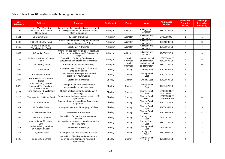# Sites of less than 10 dwellings with planning permission

| <b>Site</b><br><b>Reference</b> | <b>Address</b>                                                               | <b>Proposal</b>                                                                                                  | <b>Settlement</b> | <b>Parish</b>     | <b>Ward</b>                            | <b>Application</b><br><b>Number</b> | <b>Dwellings</b><br><b>Permitted</b><br>(Gross) | <b>Dwellings</b><br>Left to be<br><b>Built (Net)</b> |
|---------------------------------|------------------------------------------------------------------------------|------------------------------------------------------------------------------------------------------------------|-------------------|-------------------|----------------------------------------|-------------------------------------|-------------------------------------------------|------------------------------------------------------|
| 3162                            | Land 20m West of 6<br>Ellerbeck View, Castle<br>House Lane                   | Demolition of existing buildings, erection of<br>6 dwellings and change of use of existing<br>office to bungalow | Adlington         | Adlington         | Adlington and<br>Anderton              | 16/00075/FUL                        | $\overline{7}$                                  | $\overline{7}$                                       |
| 3181                            | 59 Church Street                                                             | Erection of dwelling                                                                                             | Adlington         | Adlington         | Adlington and<br>Anderton              | 17/00888/OUT                        | $\mathbf{1}$                                    | $\mathbf{1}$                                         |
| 3447                            | 169-171 Chorley Road                                                         | Change of use from dwelling and post office<br>to funeral directors and 3 flats                                  | Adlington         | Adlington         | Adlington and<br>Anderton              | 18/01093/FUL                        | 3                                               | 3                                                    |
| 3462                            | Land rear of 24-26<br>Westhoughton Road                                      | Erection of 7 dwellings                                                                                          | Adlington         | Adlington         | Adlington and<br>Anderton              | 18/00191/FUL                        | $\overline{7}$                                  | $\overline{7}$                                       |
| 3489                            | 1-3 Market Street                                                            | Change of use from restaurant to retail and<br>offices on ground floor and 3 flats on first<br>floor             | Adlington         | Adlington         | Adlington and<br>Anderton              | 19/00872/FUL                        | 3                                               | 3                                                    |
| 3105                            | Hole House Farm, Chorley<br>Road                                             | Demolition of existing farmhouse and<br>outbuildings and erection of 6 dwellings                                 | Adlington         | Heath<br>Charnock | <b>Heath Charnock</b><br>and Rivington | 15/00556/OUT<br>18/00060/FUL        | 6                                               | 5                                                    |
| 3429                            | 113 Chorley Road                                                             | Erection of replacement dwelling                                                                                 | Adlington         | Heath<br>Charnock | <b>Heath Charnock</b><br>and Rivington | 18/00140/FUL                        | $\mathbf{1}$                                    | $\mathbf 0$                                          |
| 2629                            | 21 Yarrow Road                                                               | Change of use of the ground floor from<br>shop to residential                                                    | Chorley           | Chorley           | Chorley East                           | 10/00655/FUL                        | $\mathbf{1}$                                    | $\mathbf{1}$                                         |
| 2633                            | 6 Weldbank Street                                                            | Demolition of existing extension and<br>erection of new dwelling                                                 | Chorley           | Chorley           | <b>Chorley South</b><br>East           | 10/00751/FUL                        | $\mathbf{1}$                                    | $\mathbf{1}$                                         |
| 2804                            | The Builders Yard, Froom<br><b>Street</b>                                    | Erection of 4 dwellings                                                                                          | Chorley           | Chorley           | <b>Chorley East</b>                    | 12/00059/FUL                        | $\overline{4}$                                  | 4                                                    |
| 2826                            | Land including Grafton<br>House and The Courtyard,<br><b>Anderton Street</b> | Change of use from office/storage<br>accommodation to 3 dwellings                                                | Chorley           | Chorley           | Chorley South<br>East                  | 12/00407/FUL                        | 3                                               | $\mathbf{1}$                                         |
| 3122                            | Land adjoining 43 Weldbank<br>Lane                                           | Outline application for the erection of 2<br>dwellings                                                           | Chorley           | Chorley           | <b>Chorley South</b><br>East           | 15/00982/OUT<br>19/00040/OUT        | 2                                               | 2                                                    |
| 3213                            | The Moor Inn, 26 Moor Road                                                   | Demolition of the Moor Inn and erection of 8<br>apartments                                                       | Chorley           | Chorley           | Chorley South<br>West                  | 16/00953/OUT<br>17/01160/REM        | 8                                               | 8                                                    |
| 3309                            | 125 Market Street                                                            | Change of use of second floor from storage<br>to apartment                                                       | Chorley           | Chorley           | <b>Chorley South</b><br>East           | 17/00331/FUL                        | $\mathbf{1}$                                    | $\mathbf{1}$                                         |
| 3321                            | 41 Cunliffe Street                                                           | Change of use from GP surgery to 5 flats                                                                         | Chorley           | Chorley           | Chorley South<br>East                  | 17/00635/FUL                        | 5                                               | 5                                                    |
| 3333                            | 63 Lakeland Gardens                                                          | Erection of 4 apartments                                                                                         | Chorley           | Chorley           | Chorley South<br>West                  | 17/00802/FUL                        | $\overline{4}$                                  | $\overline{4}$                                       |
| 3369                            | 23 Guildford Avenue                                                          | Demolition of extension and erection of<br>dwelling                                                              | Chorley           | Chorley           | <b>Chorley North</b><br>East           | 18/00061/OUT                        | $\mathbf{1}$                                    | $\mathbf{1}$                                         |
| 3410                            | Masons Arms, 98 Harpers<br>Lane                                              | Conversion of living accommodation at first<br>floor to 2 flats                                                  | Chorley           | Chorley           | <b>Chorley North</b><br>East           | 18/00340/FUL                        | 2                                               | $\overline{2}$                                       |
| 3411                            | Chorley Valeting Services,<br>86 Anderton Street                             | Erection of 2 dwellings                                                                                          | Chorley           | Chorley           | <b>Chorley South</b><br>East           | 18/00164/OUT                        | $\overline{2}$                                  | $\overline{2}$                                       |
| 3417                            | 1 Queens Road                                                                | Change of use from solicitors to 3 flats                                                                         | Chorley           | Chorley           | Chorley North<br>West                  | 18/00603/FUL                        | 3                                               | 3                                                    |
| 3425                            | 61-69 Clifford Street                                                        | Demolition of building and erection of 3<br>storey building comprising retail and 4<br>apartments                | Chorley           | Chorley           | Chorley South<br>East                  | 17/01081/FUL                        | $\overline{4}$                                  | $\overline{4}$                                       |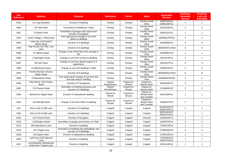| <b>Site</b><br><b>Reference</b> | <b>Address</b>                                     | <b>Proposal</b>                                                         | <b>Settlement</b>      | <b>Parish</b>        | <b>Ward</b>                              | <b>Application</b><br><b>Number</b> | <b>Dwellings</b><br><b>Permitted</b><br>(Gross) | <b>Dwellings</b><br>Left to be<br><b>Built (Net)</b> |
|---------------------------------|----------------------------------------------------|-------------------------------------------------------------------------|------------------------|----------------------|------------------------------------------|-------------------------------------|-------------------------------------------------|------------------------------------------------------|
| 3438                            | 31 Long Meadows                                    | Erection of dwelling                                                    | Chorley                | Chorley              | <b>Chorley South</b><br>West             | 18/00765/FUL<br>19/00126/FUL        | $\overline{1}$                                  | $\overline{1}$                                       |
| 3448                            | 42 Park Road                                       | Conversion of dwelling to 4 flats                                       | Chorley                | Chorley              | <b>Chorley North</b><br>East             | 18/01163/FUL                        | $\overline{4}$                                  | 3                                                    |
| 3451                            | 5 Glamis Drive                                     | Demolition of garages and carport and<br>erection of bungalow           | Chorley                | Chorley              | <b>Chorley North</b><br>West             | 18/00331/FUL                        | $\overline{1}$                                  | $\overline{1}$                                       |
| 3453                            | Smith Cottage, 2 West Bank                         | Prior approval for change of use from<br>offices to dwelling            | Chorley                | Chorley              | <b>Chorley North</b><br>West             | 19/00081/P3PAJ                      | $\mathbf{1}$                                    | $\mathbf{1}$                                         |
| 3454                            | Land rear of 63 and 67<br><b>Bolton Road</b>       | Erection of 4 dwellings                                                 | Chorley                | Chorley              | <b>Chorley South</b><br>East             | 18/00586/FUL                        | $\overline{4}$                                  | $\overline{4}$                                       |
| 3468                            | Hop Pocket Car Park, Carr<br>Lane                  | Erection of 8 dwellings                                                 | Chorley                | Chorley              | <b>Chorley South</b><br>East             | 18/00855/FULMAJ                     | 8                                               | 8                                                    |
| 3488                            | 97 Market Street                                   | Change of use of first floor from storage to<br>flat                    | Chorley                | Chorley              | <b>Chorley South</b><br>East             | 19/00898/COU                        | $\overline{1}$                                  | $\overline{1}$                                       |
| 3496                            | 2 Harrington Road                                  | Change of use from nursery to dwelling                                  | Chorley                | Chorley              | <b>Chorley North</b><br>West             | 19/01013/FUL                        | $\mathbf{1}$                                    | $\overline{1}$                                       |
| 3497                            | 38 Park Road                                       | Change of use from dental surgery to 3<br>apartments                    | Chorley                | Chorley              | <b>Chorley North</b><br>East             | 19/01007/FUL                        | 3                                               | 3                                                    |
| 3499                            | 8 Hollinshead Street                               | Change of use from dwelling to HMO                                      | Chorley                | Chorley              | <b>Chorley South</b><br>East             | 19/00970/FUL                        | $\mathbf 0$                                     | $-1$                                                 |
| 3503                            | Former Mormon Church,<br><b>Water Street</b>       | Erection of 8 dwellings                                                 | Chorley                | Chorley              | <b>Chorley North</b><br>East             | 19/00909/OUTMAJ                     | 8                                               | 8                                                    |
| 3508                            | 24 Blackstone Road                                 | Prior approval for change of use from fish<br>and chip shop to dwelling | Chorley                | Chorley              | <b>Chorley North</b><br>East             | 20/00006/P3PAN                      | $\mathbf{1}$                                    | $\mathbf{1}$                                         |
| 2558                            | Lilac Mount. 704 Preston<br>Road                   | Erection of 3 bungalows                                                 | Clayton<br>Brook/Green | Clayton-le-<br>Woods | Clayton-le-<br>Woods North               | 09/00463/FUL                        | 3                                               | $\mathbf{1}$                                         |
| 3355                            | 715 Preston Road                                   | Demolition of existing structures and<br>erection of 2 dwellings        | Clayton<br>Brook/Green | Clayton-le-<br>Woods | Clayton-le-<br>Woods North               | 17/00869/OUT                        | $\overline{2}$                                  | 2                                                    |
| 3305                            | Bethmond, Wigan Road                               | Erection of replacement dwelling                                        | Clayton-le-<br>Woods   | Clayton-le-<br>Woods | Clayton-le-<br>Woods West<br>and Cuerden | 16/01180/FUL                        | $\overline{1}$                                  | $\mathbf{1}$                                         |
| 3416                            | 152 Mendip Road                                    | Change of use from office to dwelling                                   | Clayton-le-<br>Woods   | Clayton-le-<br>Woods | Clayton-le-<br>Woods West<br>and Cuerden | 18/00637/FUL                        | $\mathbf{1}$                                    | $\overline{1}$                                       |
| 815                             | Rear of 66-74 Mill Lane                            | Erection of 2 dwellings                                                 | Coppull                | Coppull              | Coppull                                  | 91/00222/OUT<br>93/00750/FUL        | $\overline{2}$                                  | $\mathbf{1}$                                         |
| 1682                            | Rear of 42-44 Mill Lane                            | Erection of 2 dwellings                                                 | Coppull                | Coppull              | Coppull                                  | 00/00190/OUT<br>00/00701/FUL        | $\overline{2}$                                  | $\mathbf{1}$                                         |
| 2625                            | 151 Preston Road                                   | Erection of bungalow                                                    | Coppull                | Coppull              | Chisnall                                 | 10/00529/FUL                        | $\mathbf{1}$                                    | $\mathbf{1}$                                         |
| 3102                            | 1 Darlington Street                                | Demolition of garage and erection of 2 flats                            | Coppull                | Coppull              | Coppull                                  | 12/00270/FUL                        | $\overline{2}$                                  | $\overline{2}$                                       |
| 3313                            | 108 Spendmore Lane                                 | Erection of dwelling                                                    | Coppull                | Coppull              | Coppull                                  | 17/00214/FUL                        | $\overline{1}$                                  | $\overline{1}$                                       |
| 3318                            | 122 Chapel Lane                                    | Demolition of dwelling and outbuildings and<br>erection of 4 dwellings  | Coppull                | Coppull              | Coppull                                  | 17/00529/OUT                        | $\overline{4}$                                  | $\mathbf{3}$                                         |
| 3345                            | 83 Clayton Gate                                    | Erection of replacement dwelling                                        | Coppull                | Coppull              | Coppull                                  | 17/00742/FUL                        | $\mathbf{1}$                                    | $\mathbf{1}$                                         |
| 3359                            | Land rear of 60 Clancutt<br>Lane                   | Erection of dwelling                                                    | Coppull                | Coppull              | Coppull                                  | 17/01091/FUL<br>18/00731/FUL        | $\mathbf{1}$                                    | $\overline{1}$                                       |
| 3412                            | Land between Wheatsheaf<br>Hotel and 2 Chapel Lane | Erection of dwelling                                                    | Coppull                | Coppull              | Coppull                                  | 18/00118/FUL                        | $\overline{1}$                                  | $\mathbf{1}$                                         |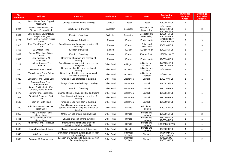| <b>Site</b><br><b>Reference</b> | <b>Address</b>                                           | <b>Proposal</b>                                                                               | <b>Settlement</b>  | <b>Parish</b>       | <b>Ward</b>                   | <b>Application</b><br><b>Number</b>          | <b>Dwellings</b><br><b>Permitted</b><br>(Gross) | <b>Dwellings</b><br>Left to be<br><b>Built (Net)</b> |
|---------------------------------|----------------------------------------------------------|-----------------------------------------------------------------------------------------------|--------------------|---------------------|-------------------------------|----------------------------------------------|-------------------------------------------------|------------------------------------------------------|
| 3490                            | Moss House Barn, Coppull<br>Moor Lane                    | Change of use of barn to dwelling                                                             | Coppull            | Coppull             | Coppull                       | 19/00855/FUL                                 | $\mathbf{1}$                                    | $\overline{1}$                                       |
| 3024                            | Land to the south west of<br>Ricmarlo, Preston Nook      | Erection of 3 dwellings                                                                       | Eccleston          | Eccleston           | Eccleston and<br>Mawdesley    | 14/00550/OUT<br>15/00719/FUL<br>16/00667/FUL | 3                                               | 3                                                    |
| 3064                            | Land adjacent Lower House<br>Cottage, Towngate           | Erection of dwelling                                                                          | Eccleston          | Eccleston           | Eccleston and<br>Mawdesley    | 13/00675/FUL<br>15/00080/FUL                 | $\mathbf{1}$                                    | $\mathbf{1}$                                         |
| 3227                            | Land North of Railway Public<br>House                    | Erection of 9 dwellings                                                                       | Euxton             | Euxton              | Euxton North                  | 15/01092/OUT<br>19/00906/REM                 | 9                                               | 9                                                    |
| 3315                            | Pear Tree Farm, Pear Tree<br>Lane                        | Demolition of farmhouse and erection of 3<br>dwellings                                        | Euxton             | Euxton              | Astley and<br><b>Buckshaw</b> | 16/01184/FUL                                 | 3                                               | 3                                                    |
| 3465                            | 121 Wigan Road                                           | Erection of dwelling                                                                          | Euxton             | Euxton              | Euxton North                  | 19/00336/FUL                                 | $\mathbf{1}$                                    | $\overline{1}$                                       |
| 3482                            | Euxton Mills Hotel, Wigan<br>Road                        | Erection of dwelling                                                                          | Euxton             | Euxton              | Euxton South                  | 19/00141/OUT                                 | $\overline{1}$                                  | $\mathbf{1}$                                         |
| 3500                            | Land adjacent to 15<br>Greenside                         | Demolition of garage and erection of<br>dwelling                                              | Euxton             | Euxton              | Euxton North                  | 19/00964/FUL                                 | $\overline{1}$                                  | $\overline{1}$                                       |
| 3112                            | Hudora Kennels, The<br>Common                            | Demolition of cattery building and erection<br>of bungalow                                    | <b>Other Rural</b> | Adlington           | Adlington and<br>Anderton     | 14/01051/FUL<br>18/00920/FUL                 | $\mathbf{1}$                                    | $\overline{1}$                                       |
| 3436                            | Garwood, Bolton Road                                     | Demolition of stables and erection of<br>dwelling                                             | <b>Other Rural</b> | Anderton            | Adlington and<br>Anderton     | 18/00860/OUT                                 | $\overline{1}$                                  | $\overline{1}$                                       |
| 3445                            | Throstle Nest Farm, Bolton<br>Road                       | Demolition of stables and garages and<br>erection of dwelling                                 | <b>Other Rural</b> | Anderton            | Adlington and<br>Anderton     | 18/01221/OUT                                 | $\overline{1}$                                  | $\overline{1}$                                       |
| 3329                            | Boundary Farm, Doles Lane                                | Change of use of stables to dwelling                                                          | <b>Other Rural</b> | <b>Bretherton</b>   | Lostock                       | 17/00707/FUL                                 | $\overline{1}$                                  | $\overline{1}$                                       |
| 3343                            | Pompian Brow Farm,<br>Pompian Brow                       | Change of use of outbuilding to dwelling                                                      | <b>Other Rural</b> | <b>Bretherton</b>   | Lostock                       | 17/00879/FUL                                 | $\overline{1}$                                  | $\overline{1}$                                       |
| 3418                            | Land 15m North of 1 Elm<br>Cottage, Pompian Brow         | Erection of dwelling                                                                          | <b>Other Rural</b> | <b>Bretherton</b>   | Lostock                       | 18/00165/FUL                                 | $\overline{1}$                                  | $\overline{1}$                                       |
| 3472                            | Norris's Farm, North Road                                | Change of use of stable building to dwelling                                                  | <b>Other Rural</b> | <b>Bretherton</b>   | Lostock                       | 18/00914/FUL                                 | $\overline{1}$                                  | $\overline{1}$                                       |
| 3502                            | Stoat Hall Fisheries, Back<br>Lane                       | Demolition of buildings and erection of<br>dwelling                                           | <b>Other Rural</b> | <b>Bretherton</b>   | Lostock                       | 19/00969/FUL                                 | $\overline{1}$                                  | $\overline{1}$                                       |
| 3509                            | Barn off North Road                                      | Change of use from barn to dwelling                                                           | <b>Other Rural</b> | <b>Bretherton</b>   | Lostock                       | 19/00696/FUL                                 | $\mathbf{1}$                                    | $\mathbf{1}$                                         |
| 2820                            | <b>Brindle Waterworks House,</b><br><b>Pippin Street</b> | Demolition of former redundant above<br>ground reservoir building and erection of<br>dwelling | <b>Other Rural</b> | <b>Brindle</b>      | <b>Brindle and</b><br>Hoghton | 12/00363/FUL                                 | $\overline{1}$                                  | $\overline{1}$                                       |
| 3356                            | Head O'th Marsh Farm,<br>Sandy Lane                      | Change of use of barn to 2 dwellings                                                          | <b>Other Rural</b> | <b>Brindle</b>      | <b>Brindle and</b><br>Hoghton | 17/00861/FUL                                 | 2                                               | 2                                                    |
| 3401                            | Tullis Farmhouse Barn.<br>Sandy Lane                     | Change of use of barn to dwelling                                                             | <b>Other Rural</b> | <b>Brindle</b>      | Brindle and<br>Hoghton        | 18/00097/FUL<br>19/00705/FUL                 | $\mathbf{1}$                                    | $\overline{1}$                                       |
| 3476                            | Anderview Farm, Hill House<br>Lane                       | Prior approval for change of use of<br>agricultural building to dwelling                      | <b>Other Rural</b> | <b>Brindle</b>      | Brindle and<br>Hoghton        | 19/00718/P3PAO                               | $\mathbf{1}$                                    | $\overline{1}$                                       |
| 3492                            | Leigh Farm, Marsh Lane                                   | Change of use of barns to 4 dwellings                                                         | <b>Other Rural</b> | <b>Brindle</b>      | <b>Brindle and</b><br>Hoghton | 19/00623/FUL                                 | 4                                               | 4                                                    |
| 2348                            | 69 Charter Lane                                          | Demolition of existing dwelling and erection<br>of 2 dwellings                                | <b>Other Rural</b> | Charnock<br>Richard | Chisnall                      | 08/00471/FUL<br>10/00298/FUL                 | $\sqrt{2}$                                      | $\mathbf{1}$                                         |
| 2506                            | Annbray, 29 Charter Lane                                 | Erection of 2 dwellings following demolition<br>of existing bungalow                          | <b>Other Rural</b> | Charnock<br>Richard | Chisnall                      | 09/00016/OUT<br>11/00599/FUL                 | $\sqrt{2}$                                      | $\mathbf 2$                                          |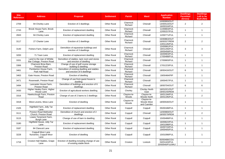| <b>Site</b><br><b>Reference</b> | <b>Address</b>                                           | <b>Proposal</b>                                                            | <b>Settlement</b>  | <b>Parish</b>        | <b>Ward</b>                              | <b>Application</b><br><b>Number</b>             | <b>Dwellings</b><br><b>Permitted</b><br>(Gross) | <b>Dwellings</b><br>Left to be<br><b>Built (Net)</b> |
|---------------------------------|----------------------------------------------------------|----------------------------------------------------------------------------|--------------------|----------------------|------------------------------------------|-------------------------------------------------|-------------------------------------------------|------------------------------------------------------|
| 2709                            | 94 Chorley Lane                                          | Erection of 2 dwellings                                                    | <b>Other Rural</b> | Charnock<br>Richard  | Chisnall                                 | 10/00993/OUT<br>14/00510/OUT<br>16/00316/FUL    | $\overline{2}$                                  | 2                                                    |
| 2743                            | Brook House Farm, Brook<br>Lane                          | Erection of replacement dwelling                                           | <b>Other Rural</b> | Charnock<br>Richard  | Chisnall                                 | 11/00804/FUL<br>12/00157/FUL                    | $\mathbf{1}$                                    | $\mathbf{1}$                                         |
| 2843                            | 94 Chorley Lane                                          | Erection of replacement dwelling                                           | <b>Other Rural</b> | Charnock<br>Richard  | Chisnall                                 | 12/00771/FUL                                    | $\mathbf{1}$                                    | $\mathbf{1}$                                         |
| 3117                            | 27 Charter Lane                                          | Erection of 2 dwellings                                                    | <b>Other Rural</b> | Charnock<br>Richard  | Chisnall                                 | 15/00863/OUT<br>16/00327/REM<br>13/01145/FUL    | $\overline{2}$                                  | $\overline{2}$                                       |
| 3140                            | Fishers Farm, Delph Lane                                 | Demolition of equestrian buildings and<br>erection of 3 dwellings          | <b>Other Rural</b> | Charnock<br>Richard  | Chisnall                                 | 15/00991/FUL<br>18/01206/FUL<br>18/00458/FUL    | 3                                               | 3                                                    |
| 3200                            | 71 Town Lane                                             | Erection of replacement dwelling                                           | <b>Other Rural</b> | Charnock<br>Richard  | Chisnall                                 | 16/00903/FUL<br>17/00488/FUL                    | $\mathbf{1}$                                    | $\mathbf{1}$                                         |
| 3331                            | Land to the rear of Whittle<br>Bar Cottage, Preston Road | Demolition of stables, tack room and stores<br>and erection of dwelling    | <b>Other Rural</b> | Charnock<br>Richard  | Chisnall                                 | 17/00683/FUL                                    | $\mathbf{1}$                                    | $\mathbf{1}$                                         |
| 3366                            | Charnock Brow Barn,<br>Preston Road                      | Change of use of golf course storage<br>building to dwelling               | <b>Other Rural</b> | Charnock<br>Richard  | Chisnall                                 | 17/01223/FUL                                    | $\mathbf{1}$                                    | $\mathbf{1}$                                         |
| 3461                            | Pemberton House Farm,<br>Park Hall Road                  | Demolition of existing dwelling and stables<br>and erection of 6 dwellings | <b>Other Rural</b> | Charnock<br>Richard  | Chisnall                                 | 18/00416/OUT                                    | 6                                               | 5                                                    |
| 3463                            | Gate House, Preston Road                                 | Erection of dwelling                                                       | <b>Other Rural</b> | Charnock<br>Richard  | Chisnall                                 | 19/00484/PIP                                    | $\mathbf{1}$                                    | $\mathbf{1}$                                         |
| 3471                            | Roseneath, Preston Road                                  | Change of use from guest house to<br>dwelling                              | <b>Other Rural</b> | Charnock<br>Richard  | Chisnall                                 | 19/00457/FUL                                    | $\mathbf{1}$                                    | $\mathbf{1}$                                         |
| 3494                            | Lancaster House Farm.<br>Preston Road                    | Demolition of buildings and erection of 6<br>dwellings                     | <b>Other Rural</b> | Charnock<br>Richard  | Chisnall                                 | 18/00704/OUT                                    | 6                                               | 6                                                    |
| 3430                            | Higher Healey Farm, Higher<br>House Lane                 | Erection of agricultural workers dwelling                                  | <b>Other Rural</b> | Chorley              | <b>Chorley North</b><br>East             | 16/01021/OUT<br>19/00140/REM                    | $\mathbf{1}$                                    | $\mathbf{1}$                                         |
| 3316                            | Hawksclough Farm, Preston<br>Road                        | Change of use of 2 barns to 2 dwellings                                    | <b>Other Rural</b> | Clayton-le-<br>Woods | Clayton-le-<br>Woods North               | 16/01194/FUL<br>16/01195/FUL                    | $\overline{2}$                                  | $\overline{2}$                                       |
| 3418                            | West Levens, Moss Lane                                   | Erection of dwelling                                                       | <b>Other Rural</b> | Clayton-le-<br>Woods | Clayton-le-<br>Woods West<br>and Cuerden | 18/00530/OUT                                    | $\mathbf{1}$                                    | $\mathbf{1}$                                         |
| 2105                            | Highfield Farm, Jolly Tar<br>Lane                        | Erection of replacement dwelling                                           | <b>Other Rural</b> | Coppull              | Coppull                                  | 05/00188/FUL                                    | $\mathbf{1}$                                    | $\mathbf{1}$                                         |
| 3111                            | <b>Preston Road Methodist</b><br>Church, Preston Road    | Demolition of church and erection of 2<br>dwellings                        | <b>Other Rural</b> | Coppull              | Chisnall                                 | 14/00969/OUT<br>18/00579/REM                    | 2                                               | $\overline{2}$                                       |
| 3115                            | Lowes Tenement Farm.<br><b>Burgh Lane</b>                | Change of use of barn to dwelling                                          | <b>Other Rural</b> | Coppull              | Coppull                                  | 15/00488/FUL                                    | $\mathbf{1}$                                    | $\mathbf{1}$                                         |
| 3180                            | Highfield House, Jolly Tar<br>Lane                       | Erection of replacement dwelling                                           | <b>Other Rural</b> | Coppull              | Coppull                                  | 16/00622/FUL<br>19/01098/FUL                    | $\mathbf{1}$                                    | $\mathbf{1}$                                         |
| 3187                            | 84 Clancutt Lane                                         | Erection of replacement dwelling                                           | <b>Other Rural</b> | Coppull              | Coppull                                  | 16/00743/FUL<br>19/00405/FUL                    | $\mathbf{1}$                                    | $\mathbf{1}$                                         |
| 3228                            | Coppull Moor Lane<br>Nurseries, Coppull Moor<br>Lane     | Erection of dwelling                                                       | <b>Other Rural</b> | Coppull              | Coppull                                  | 15/01098/FUL                                    | $\mathbf{1}$                                    | $\mathbf{1}$                                         |
| 1716                            | Croston Hall Stables, Grape<br>Lane                      | Erection of dwelling including change of use<br>of existing stable block   | <b>Other Rural</b> | Croston              | Lostock                                  | 00/00488/COU<br>04/01443/FUL<br>15/00540/FULMAJ | $\mathbf{1}$                                    | $\mathbf{1}$                                         |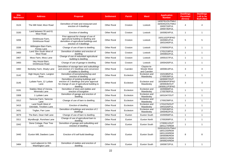| <b>Site</b><br><b>Reference</b> | <b>Address</b>                                 | <b>Proposal</b>                                                                                                                                     | <b>Settlement</b>  | <b>Parish</b> | Ward                                     | <b>Application</b><br><b>Number</b>                                                             | <b>Dwellings</b><br><b>Permitted</b><br>(Gross) | <b>Dwellings</b><br>Left to be<br><b>Built (Net)</b> |
|---------------------------------|------------------------------------------------|-----------------------------------------------------------------------------------------------------------------------------------------------------|--------------------|---------------|------------------------------------------|-------------------------------------------------------------------------------------------------|-------------------------------------------------|------------------------------------------------------|
| 3124                            | The Mill Hotel, Moor Road                      | Demolition of hotel and restaurant and<br>erection of 4 dwellings                                                                                   | <b>Other Rural</b> | Croston       | Lostock                                  | 14/00761/OUTMAJ<br>16/00452/OUTMAJ<br>19/00733/FUL<br>19/00735/FUL                              | 4                                               | $\overline{4}$                                       |
| 3193                            | Land between 55 and 61<br>Moor Road            | Erection of dwelling                                                                                                                                | <b>Other Rural</b> | Croston       | Lostock                                  | 16/00824/FUL                                                                                    | $\mathbf{1}$                                    | $\overline{1}$                                       |
| 3206                            | Drinkhouse Farm.<br><b>Drinkhouse Road</b>     | Prior approval for change of use of<br>agricultural building to dwelling and<br>demolition of agricultural buildings and<br>erection of 4 dwellings | <b>Other Rural</b> | Croston       | Lostock                                  | 16/01102/P3PAO<br>16/00601/FUL<br>18/01040/FUL                                                  | 5                                               | 5                                                    |
| 3336                            | Withington Barn Farm,<br>Finney Lane           | Change of use of barn to dwelling                                                                                                                   | <b>Other Rural</b> | Croston       | Lostock                                  | 17/00592/FUL                                                                                    | $\mathbf{1}$                                    | $\mathbf{1}$                                         |
| 3400                            | Land 35m South West of<br>Moor Road            | Demolition of stables and erection of<br>dwelling                                                                                                   | <b>Other Rural</b> | Croston       | Lostock                                  | 17/01219/FUL<br>19/00842/FUL                                                                    | $\mathbf{1}$                                    | $\overline{1}$                                       |
| 3467                            | Moss Farm, Moss Lane                           | Change of use of redundant agricultural<br>building to dwelling                                                                                     | <b>Other Rural</b> | Croston       | Lostock                                  | 19/00157/FUL                                                                                    | $\mathbf{1}$                                    | $\overline{1}$                                       |
| 3493                            | Hey House Barn,<br>Drinkhouse Road             | Change of use of garage to dwelling                                                                                                                 | <b>Other Rural</b> | Croston       | Lostock                                  | 19/00426/FUL                                                                                    | $\mathbf{1}$                                    | $\mathbf{1}$                                         |
| 3460                            | Berkeley Farm, Shady Lane                      | Demolition of storage barn and outbuildings<br>and erection of 2 dwellings and conversion<br>of stables to dwelling                                 | <b>Other Rural</b> | Cuerden       | Clayton-le-<br>Woods West<br>and Cuerden | 18/00813/FUL                                                                                    | 3                                               | 3                                                    |
| 3142                            | High Heyes Farm, Langton<br><b>Brow</b>        | Demolition of kennels/workshop and<br>erection of dwelling                                                                                          | <b>Other Rural</b> | Eccleston     | Eccleston and<br>Mawdesley               | 15/01085/FUL<br>17/00539/FUL                                                                    | $\mathbf{1}$                                    | $\overline{1}$                                       |
| 3145                            | Lydiate Farm, 12 Lydiate<br>Lane               | Demolition of existing buildings and<br>erection of 2 dwellings and prior approval<br>for change of use of agricultural building to<br>dwelling     | <b>Other Rural</b> | Eccleston     | Eccleston and<br>Mawdesley               | 16/00007/OUT<br>16/00964/P3PAO<br>18/00636/OUT<br>19/00911/P3PAO                                | 3                                               | 3                                                    |
| 3191                            | Stables West of Verona,<br>Wrennals Lane       | Demolition of store and stables and<br>erection of bungalow                                                                                         | <b>Other Rural</b> | Eccleston     | Eccleston and<br>Mawdesley               | 16/00668/FUL<br>17/00780/FUL                                                                    | $\mathbf{1}$                                    | $\overline{1}$                                       |
| 3308                            | 1 Lydiate Lane                                 | Demolition of garage and erection of<br>dwelling                                                                                                    | <b>Other Rural</b> | Eccleston     | Eccleston and<br>Mawdesley               | 16/01047/OUT                                                                                    | $\mathbf{1}$                                    | $\mathbf{1}$                                         |
| 3312                            | Sarscow Farm, Sarscow<br>Lane                  | Change of use of barn to dwelling                                                                                                                   | <b>Other Rural</b> | Eccleston     | Eccleston and<br>Mawdesley               | 17/00239/FUL                                                                                    | $\mathbf{1}$                                    | $\mathbf{1}$                                         |
| 3415                            | Land South West of<br>Glendale, Tincklers Lane | Erection of dwelling                                                                                                                                | <b>Other Rural</b> | Eccleston     | Eccleston and<br>Mawdesley               | 17/01076/OUT<br>19/01026/FUL                                                                    | $\mathbf{1}$                                    | $\mathbf{1}$                                         |
| 3431                            | Trigfan, Parr Lane                             | Demolition of buildings and erection of 2<br>dwellings                                                                                              | <b>Other Rural</b> | Eccleston     | Eccleston and<br>Mawdesley               | 17/00538/FUL<br>19/00462/FUL                                                                    | 2                                               | $\overline{2}$                                       |
| 3079                            | The Barn, Dean Hall Lane                       | Change of use of barn to dwelling                                                                                                                   | <b>Other Rural</b> | Euxton        | Euxton South                             | 15/00058/FUL                                                                                    | $\mathbf{1}$                                    | $\overline{1}$                                       |
| 3311                            | Wyndburgh, Runshaw Lane                        | Change of use of agricultural barn to<br>dwelling                                                                                                   | Other Rural        | Euxton        | <b>Euxton North</b>                      | 17/00269/FUL                                                                                    | $\mathbf{1}$                                    | $\overline{1}$                                       |
| 3342                            | Dene Cottage, Pear Tree<br>Lane                | Demolition of garage and outbuilding and<br>erection of dwelling                                                                                    | <b>Other Rural</b> | Euxton        | Euxton South                             | 17/00911/OUT<br>18/01174/REM                                                                    | $\overline{1}$                                  | $\overline{1}$                                       |
| 3440                            | Euxton Mill, Dawbers Lane                      | Erection of 8 self build dwellings                                                                                                                  | <b>Other Rural</b> | Euxton        | Euxton South                             | 15/00162/OUTMAJ<br>18/01150/REM<br>18/01193/REM<br>19/00096/REM<br>19/00221/REM<br>19/00624/REM | 8                                               | 8                                                    |
| 3484                            | Land adjacent to 33A<br>Washington Lane        | Demolition of stables and erection of<br>dwelling                                                                                                   | <b>Other Rural</b> | Euxton        | Euxton South                             | 19/00672/FUL                                                                                    | $\mathbf{1}$                                    | $\mathbf{1}$                                         |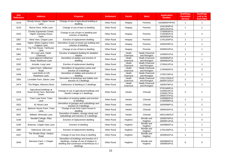| <b>Site</b><br><b>Reference</b> | <b>Address</b>                                                     | <b>Proposal</b>                                                                                                                               | <b>Settlement</b>  | <b>Parish</b>     | <b>Ward</b>                            | <b>Application</b><br><b>Number</b>                          | <b>Dwellings</b><br><b>Permitted</b><br>(Gross) | <b>Dwellings</b><br>Left to be<br><b>Built (Net)</b> |
|---------------------------------|--------------------------------------------------------------------|-----------------------------------------------------------------------------------------------------------------------------------------------|--------------------|-------------------|----------------------------------------|--------------------------------------------------------------|-------------------------------------------------|------------------------------------------------------|
| 3119                            | Moody House, Higher House<br>Lane                                  | Change of use of agricultural building to<br>dwelling                                                                                         | <b>Other Rural</b> | Heapey            | Pennine                                | 15/00894/P3PAO                                               | $\mathbf{1}$                                    | $\overline{1}$                                       |
| 3133                            | Morris Farm, Hollin Lane                                           | Change of use of barn to dwelling                                                                                                             | <b>Other Rural</b> | Heapey            | Pennine                                | 14/01303/FUL<br>18/01191/FUL                                 | $\mathbf{1}$                                    | $\mathbf{1}$                                         |
| 3225                            | Chorley Equestrian Centre,<br><b>Higher Garstang House</b><br>Farm | Change of use of barn to dwelling and<br>erection of dwelling                                                                                 | <b>Other Rural</b> | Heapey            | Pennine                                | 17/00003/FUL<br>17/00382/FUL<br>18/00262/FUL                 | $\sqrt{2}$                                      | $\overline{2}$                                       |
| 3367                            | West View, Chapel Lane                                             | Erection of replacement dwelling                                                                                                              | <b>Other Rural</b> | Heapey            | Pennine                                | 17/01183/FUL                                                 | $\mathbf{1}$                                    | $\mathbf{1}$                                         |
| 3466                            | Higher White Coppice Farm,<br>Coppice Lane                         | Demolition of part of mixed use building and<br>erection of dwelling                                                                          | <b>Other Rural</b> | Heapey            | Pennine                                | 19/00329/FUL                                                 | $\mathbf{1}$                                    | $\overline{1}$                                       |
| 3511                            | Fig Tree House, Tanhouse<br>Lane                                   | Change of use of barn to dwelling                                                                                                             | <b>Other Rural</b> | Heapey            | Pennine                                | 20/00015/FUL                                                 | $\overline{1}$                                  | $\overline{1}$                                       |
| 2961                            | 26 Long Lane, Heath<br>Charnock                                    | Erection of adapted dwelling for disabled<br>relative                                                                                         | <b>Other Rural</b> | Heath<br>Charnock | <b>Heath Charnock</b><br>and Rivington | 13/00631/FUL                                                 | $\mathbf{1}$                                    | $\overline{1}$                                       |
| 3212                            | Land adjacent Gilbertson<br>Road, Rawlinson Lane                   | Demolition of stables and erection of<br>dwelling                                                                                             | <b>Other Rural</b> | Heath<br>Charnock | <b>Heath Charnock</b><br>and Rivington | 16/00905/FUL<br>19/00002/FUL                                 | $\mathbf{1}$                                    | $\mathbf{1}$                                         |
| 3332                            | Arnside, Long Lane                                                 | Erection of replacement dwelling                                                                                                              | <b>Other Rural</b> | Heath<br>Charnock | <b>Heath Charnock</b><br>and Rivington | 17/00412/FUL                                                 | $\mathbf{1}$                                    | $\overline{1}$                                       |
| 3337                            | Liptrot Farm, Gilbertson<br>Road                                   | Demolition of equestrian centre and<br>erection of 3 dwellings                                                                                | <b>Other Rural</b> | Heath<br>Charnock | <b>Heath Charnock</b><br>and Rivington | 17/00483/FUL                                                 | 3                                               | 3                                                    |
| 3346                            | Land North of 125<br>Rawlinson Lane                                | Demolition of stables and erection of<br>dwelling                                                                                             | <b>Other Rural</b> | Heath<br>Charnock | <b>Heath Charnock</b><br>and Rivington | 17/00719/FUL                                                 | $\overline{1}$                                  | $\overline{1}$                                       |
| 3363                            | Lonsdale Farm, Slacks Lane                                         | Demolition of workshop and stables and<br>erection of 2 dwellings                                                                             | <b>Other Rural</b> | Heath<br>Charnock | <b>Heath Charnock</b><br>and Rivington | 17/01170/OUT<br>18/00472/OUT                                 | 2                                               | 2                                                    |
| 3474                            | The Ridges, Weavers Brow                                           | Subdivision of dwelling to 2 dwellings                                                                                                        | <b>Other Rural</b> | Heath<br>Charnock | <b>Heath Charnock</b><br>and Rivington | 19/00479/FUL                                                 | $\overline{2}$                                  | $\overline{1}$                                       |
| 2418                            | Agricultural buildings at<br>Howe Brook Farm, Bannister<br>Green   | Change of use of agricultural buildings and<br>derelict cottage to 2 dwellings                                                                | <b>Other Rural</b> | Heskin            | Chisnall                               | 07/01340/FUL<br>12/00915/FUL<br>12/00917/FUL<br>19/00737/FUL | $\sqrt{2}$                                      | $\overline{1}$                                       |
| 3103                            | Town Lane Farm, Town<br>Lane                                       | Demolition of existing stables and erection<br>of dwelling                                                                                    | <b>Other Rural</b> | Heskin            | Chisnall                               | 14/00982/FUL<br>17/00599/FUL                                 | 2                                               | 2                                                    |
| 3422                            | 81 Wood Lane                                                       | Demolition of garages and outbuildings and<br>erection of 2 dwellings                                                                         | <b>Other Rural</b> | Heskin            | Chisnall                               | 18/00598/FUL                                                 | 2                                               | 2                                                    |
| 3479                            | Spencer House Farm, Town<br>Lane                                   | Change of use from coach house to<br>dwelling                                                                                                 | <b>Other Rural</b> | Heskin            | Chisnall                               | 19/00432/FUL                                                 | $\mathbf{1}$                                    | $\overline{1}$                                       |
| 3507                            | Wilbeth, Wrennals Lane                                             | Demolition of stables, storage sheds and<br>outbuildings and erection of 2 dwellings                                                          | <b>Other Rural</b> | Heskin            | Chisnall                               | 19/01148/OUT                                                 | $\overline{2}$                                  | 2                                                    |
| 3148                            | Sandall Cottage, Riley<br>Green                                    | Erection of replacement dwelling                                                                                                              | <b>Other Rural</b> | Hoghton           | <b>Brindle and</b><br>Hoghton          | 15/00570/FUL<br>18/00971/FUL                                 | $\overline{1}$                                  | $\mathbf 0$                                          |
| 3195                            | Braemar, Cripple Gate Lane                                         | Erection of dwelling                                                                                                                          | <b>Other Rural</b> | Hoghton           | <b>Brindle and</b><br>Hoghton          | 16/00860/FUL                                                 | $\mathbf{1}$                                    | $\mathbf{1}$                                         |
| 3360                            | Oakmount, Gib Lane                                                 | Erection of replacement dwelling                                                                                                              | <b>Other Rural</b> | Hoghton           | <b>Brindle and</b><br>Hoghton          | 17/01156/FUL                                                 | $\mathbf{1}$                                    | $\Omega$                                             |
| 3437                            | The Shuttle Shop, Viaduct<br>Road                                  | Change of use from shop to dwelling                                                                                                           | <b>Other Rural</b> | Hoghton           | <b>Brindle and</b><br>Hoghton          | 18/00832/FUL                                                 | $\mathbf{1}$                                    | $\mathbf{1}$                                         |
| 3444                            | Barracks Farm, 1 Chapel<br>Lane                                    | Demolition of buildings and erection of 3<br>dwellings, change of use of shippon to<br>dwelling and conversion of farmhouse to 2<br>dwellings | <b>Other Rural</b> | Hoghton           | <b>Brindle</b> and<br>Hoghton          | 18/00894/FUL<br>19/00903/FUL                                 | 6                                               | 5                                                    |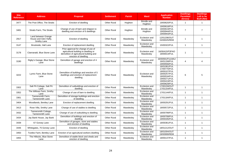| <b>Site</b><br><b>Reference</b> | <b>Address</b>                                              | <b>Proposal</b>                                                                                                                                | <b>Settlement</b>  | <b>Parish</b> | <b>Ward</b>                   | <b>Application</b><br><b>Number</b>                                                                                          | <b>Dwellings</b><br><b>Permitted</b><br>(Gross) | <b>Dwellings</b><br>Left to be<br><b>Built (Net)</b> |
|---------------------------------|-------------------------------------------------------------|------------------------------------------------------------------------------------------------------------------------------------------------|--------------------|---------------|-------------------------------|------------------------------------------------------------------------------------------------------------------------------|-------------------------------------------------|------------------------------------------------------|
| 3477                            | The Post Office, The Straits                                | Erection of dwelling                                                                                                                           | <b>Other Rural</b> | Hoghton       | <b>Brindle and</b><br>Hoghton | 19/00620/FUL                                                                                                                 | $\mathbf{1}$                                    | $\mathbf{1}$                                         |
| 3481                            | <b>Straits Farm, The Straits</b>                            | Change of use of barn and shippon to<br>dwelling and erection of 6 dwellings                                                                   | Other Rural        | Hoghton       | <b>Brindle and</b><br>Hoghton | 19/00618/FUL<br>19/00619/FUL<br>19/00944/FUL<br>19/00943/FUL                                                                 | $\overline{7}$                                  | $\overline{7}$                                       |
| 2917                            | Land between Grange<br>House and Glen Haffy,<br>Smithy Lane | Erection of dwelling                                                                                                                           | <b>Other Rural</b> | Mawdesley     | Eccleston and<br>Mawdesley    | 12/01206/OUT<br>15/00025/REM                                                                                                 | $\mathbf{1}$                                    | $\mathbf{1}$                                         |
| 3147                            | Brookside, Hall Lane                                        | Erection of replacement dwelling                                                                                                               | <b>Other Rural</b> | Mawdesley     | Eccleston and<br>Mawdesley    | 15/00322/FUL                                                                                                                 | $\mathbf{1}$                                    | $\mathbf{1}$                                         |
| 3178                            | Clanranald, Blue Stone Lane                                 | Prior approval for change of use of<br>agricultural building to dwelling or<br>demolition of agricultural building and<br>erection of dwelling | <b>Other Rural</b> | Mawdesley     | Eccleston and<br>Mawdesley    | 16/00415/P3PAO<br>18/00014/FUL                                                                                               | $\mathbf{1}$                                    | $\mathbf{1}$                                         |
| 3190                            | Rigby's Garage, Blue Stone<br>Lane                          | Demolition of garage and erection of 4<br>dwellings                                                                                            | Other Rural        | Mawdesley     | Eccleston and<br>Mawdesley    | 16/00591/FULMAJ<br>16/01158/FUL<br>19/00556/FUL                                                                              | 4                                               | 4                                                    |
| 3222                            | Lynric Farm, Blue Stone<br>Lane                             | Demolition of buildings and erection of 5<br>dwellings and erection of replacement<br>dwelling                                                 | <b>Other Rural</b> | Mawdesley     | Eccleston and<br>Mawdesley    | 16/01061/FUL<br>17/00770/FUL<br>18/00107/FUL<br>18/00257/FUL<br>18/00534/FUL<br>19/00271/FUL<br>19/00419/FUL<br>19/00629/FUL | 6                                               | 5                                                    |
| 3302                            | Salt Pit Cottage, Salt Pit<br>Lane                          | Demolition of outbuildings and erection of<br>dwelling                                                                                         | <b>Other Rural</b> | Mawdesley     | Eccleston and<br>Mawdesley    | 17/00159/OUT<br>17/01154/FUL                                                                                                 | $\mathbf{1}$                                    | $\mathbf{1}$                                         |
| 3352                            | The Willows Farm, Smithy<br>Lane                            | Change of use of barn to dwelling                                                                                                              | <b>Other Rural</b> | Mawdesley     | Eccleston and<br>Mawdesley    | 17/01144/FUL                                                                                                                 | $\mathbf{1}$                                    | $\mathbf{1}$                                         |
| 3361                            | Tannersmith Farm,<br>Tannersmith Lane                       | Demolition of storage buildings and erection<br>of dwelling                                                                                    | <b>Other Rural</b> | Mawdesley     | Eccleston and<br>Mawdesley    | 17/01184/FUL                                                                                                                 | $\mathbf{1}$                                    | $\mathbf{1}$                                         |
| 3404                            | Woodlands, Bentley Lane                                     | Erection of replacement dwelling                                                                                                               | <b>Other Rural</b> | Mawdesley     | Eccleston and<br>Mawdesley    | 18/00291/FUL                                                                                                                 | $\mathbf{1}$                                    | $\mathbf{1}$                                         |
| 3413                            | Rose Villa, Smithy Lane                                     | Change of use of stables to dwelling                                                                                                           | <b>Other Rural</b> | Mawdesley     | Eccleston and<br>Mawdesley    | 18/00572/FUL                                                                                                                 | $\mathbf{1}$                                    | $\mathbf{1}$                                         |
| 3432                            | Tannersmith Cottage,<br><b>Tannersmith Lane</b>             | Change of use of outbuilding to dwelling                                                                                                       | Other Rural        | Mawdesley     | Eccleston and<br>Mawdesley    | 18/00799/FUL                                                                                                                 | $\mathbf{1}$                                    | $\mathbf{1}$                                         |
| 3434                            | Jay Bank House, Jay Bank                                    | Demolition of buildings and erection of<br>dwelling                                                                                            | <b>Other Rural</b> | Mawdesley     | Eccleston and<br>Mawdesley    | 18/00708/FUL<br>19/00335/FUL                                                                                                 | $\mathbf{1}$                                    | $\mathbf{1}$                                         |
| 3439                            | 67 Gorsey Lane                                              | Demolition of garages, store and stables<br>and erection of dwelling                                                                           | Other Rural        | Mawdesley     | Eccleston and<br>Mawdesley    | 18/00361/FUL                                                                                                                 | $\mathbf{1}$                                    | $\mathbf{1}$                                         |
| 3446                            | Whitegates, 75 Gorsey Lane                                  | Erection of dwelling                                                                                                                           | Other Rural        | Mawdesley     | Eccleston and<br>Mawdesley    | 18/01212/OUT                                                                                                                 | $\mathbf{1}$                                    | $\mathbf{1}$                                         |
| 3450                            | Tootles Farm, Bentley Lane                                  | Erection of an agricultural workers dwelling                                                                                                   | Other Rural        | Mawdesley     | Eccleston and<br>Mawdesley    | 18/01004/OUT<br>19/00999/REM                                                                                                 | $\mathbf{1}$                                    | $\mathbf{1}$                                         |
| 3455                            | The Hillocks, Blue Stone<br>Lane                            | Demolition of stable block and sheds and<br>erection of dwelling                                                                               | Other Rural        | Mawdesley     | Eccleston and<br>Mawdesley    | 18/00137/FUL                                                                                                                 | $\mathbf{1}$                                    | $\mathbf{1}$                                         |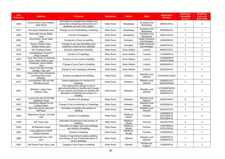| <b>Site</b><br><b>Reference</b> | <b>Address</b>                                                  | <b>Proposal</b>                                                                                                                                                                          | <b>Settlement</b>  | <b>Parish</b>        | Ward                                   | <b>Application</b><br><b>Number</b>            | <b>Dwellings</b><br><b>Permitted</b><br>(Gross) | <b>Dwellings</b><br>Left to be<br><b>Built (Net)</b> |
|---------------------------------|-----------------------------------------------------------------|------------------------------------------------------------------------------------------------------------------------------------------------------------------------------------------|--------------------|----------------------|----------------------------------------|------------------------------------------------|-------------------------------------------------|------------------------------------------------------|
| 3456                            | Church Farm Livery Stables,<br><b>High Street</b>               | Demolition of existing livery stables and<br>associated outbuildings and erection of 3<br>dwellings and new livery stables                                                               | <b>Other Rural</b> | Mawdeslev            | Eccleston and<br>Mawdesley             | 19/00214/FUL                                   | 3                                               | 3                                                    |
| 3473                            | The Clyde, Bradshaw Lane                                        | Change of use of outbuilding to dwelling                                                                                                                                                 | <b>Other Rural</b> | Mawdesley            | Eccleston and<br>Mawdesley             | 19/00565/FUL                                   | $\mathbf{1}$                                    | $\mathbf{1}$                                         |
| 3506                            | Wrennalls House, Ridley<br>Lane                                 | Erection of bungalow                                                                                                                                                                     | <b>Other Rural</b> | Mawdeslev            | Eccleston and<br>Mawdesley             | 19/01175/FUL                                   | $\mathbf{1}$                                    | $\overline{1}$                                       |
| 2852                            | Morris Barn, Dean Head<br>Lane                                  | Conversion of barn to dwelling                                                                                                                                                           | <b>Other Rural</b> | Rivington            | <b>Heath Charnock</b><br>and Rivington | 12/00949/FUL                                   | $\mathbf{1}$                                    | $\overline{1}$                                       |
| 3128                            | Moses Cockers Farm.<br>Sheep House Lane                         | Change of use, part demolition and<br>extension of barn to form dwelling                                                                                                                 | <b>Other Rural</b> | Rivington            | <b>Heath Charnock</b><br>and Rivington | 15/00972/FUL                                   | $\mathbf{1}$                                    | $\mathbf{1}$                                         |
| 2512                            | 267 Southport Road                                              | Erection replacement dwelling                                                                                                                                                            | <b>Other Rural</b> | <b>Ulnes Walton</b>  | Lostock                                | 09/00151/FUL                                   | $\mathbf{1}$                                    | $\mathbf{1}$                                         |
| 3324                            | Land Between 35 and 37<br><b>Wray Crescent</b>                  | Erection of 2 dwellings                                                                                                                                                                  | Other Rural        | <b>Ulnes Walton</b>  | Lostock                                | 17/00569/FUL                                   | $\overline{2}$                                  | $\overline{2}$                                       |
| 3420                            | Land 70m South of Garstang<br>Farm, Ulnes Walton Lane           | Erection of rural workers dwelling                                                                                                                                                       | Other Rural        | <b>Ulnes Walton</b>  | Lostock                                | 17/00940/OUT<br>19/00535/REM                   | $\mathbf{1}$                                    | $\mathbf{1}$                                         |
| 3423                            | Dorbaricia, Ulnes Walton<br>Lane                                | Change of use of barn to dwelling                                                                                                                                                        | <b>Other Rural</b> | <b>Ulnes Walton</b>  | Lostock                                | 18/00396/FUL                                   | $\mathbf{1}$                                    | $\mathbf{1}$                                         |
| 3501                            | Land to the rear of Forge<br>Cottage, Flag Lane                 | Change of use of garage to dwelling                                                                                                                                                      | <b>Other Rural</b> | <b>Ulnes Walton</b>  | Lostock                                | 19/01061/FUL                                   | $\mathbf{1}$                                    | $\mathbf{1}$                                         |
| 2901                            | Close Gate Farm and land to<br>rear Buckholes Lane,<br>Wheelton | Erection of replacement dwelling                                                                                                                                                         | <b>Other Rural</b> | Wheelton             | Wheelton and<br>Withnell               | 12/01158/FULMAJ                                | $\mathbf{1}$                                    | $\mathbf{1}$                                         |
| 3073                            | Land between 386 and 392<br><b>Blackburn Road</b>               | Outline application for erection of 2<br>dwellings                                                                                                                                       | Other Rural        | Wheelton             | Wheelton and<br>Withnell               | 14/00601/OUT<br>18/00240/REM                   | $\overline{2}$                                  | $\overline{2}$                                       |
| 3405                            | Wheelton Lodge Farm,<br>Harbour Lane                            | Prior approval for change of use of<br>agricultural building to dwelling and change<br>of use of barns and shippon to dwelling OR<br>demolition of buildings and erection of<br>dwelling | <b>Other Rural</b> | Wheelton             | Wheelton and<br>Withnell               | 17/01093/P3PAO<br>18/00121/FUL<br>18/00947/FUL | $\overline{2}$                                  | 2                                                    |
| 3427                            | Land to the rear of 378-386<br><b>Blackburn Road</b>            | Erection of 8 dwellings                                                                                                                                                                  | <b>Other Rural</b> | Wheelton             | Wheelton and<br>Withnell               | 16/00575/OUT                                   | 8                                               | 8                                                    |
| 3470                            | Workshop adjacent to 1A<br>Victoria Street                      | Change of use of workshop to 2 dwellings                                                                                                                                                 | <b>Other Rural</b> | Wheelton             | Wheelton and<br>Withnell               | 19/00505/FUL                                   | $\overline{2}$                                  | $\overline{2}$                                       |
| 3480                            | Blue Dye House, Brinscall<br>Mill Road                          | Demolition of stables and erection of<br>dwelling                                                                                                                                        | Other Rural        | Wheelton             | Wheelton and<br>Withnell               | 18/01057/OUT                                   | $\mathbf{1}$                                    | $\mathbf{1}$                                         |
| 3048                            | Waterstone House, 1A Dark<br>Lane                               | Erection of 2 dwellings                                                                                                                                                                  | <b>Other Rural</b> | Whittle-le-<br>Woods | Pennine                                | 14/00966/FUL<br>15/01185/FUL<br>19/01080/FUL   | $\overline{2}$                                  | 2                                                    |
| 3166                            | 145 Town Lane                                                   | Demolition of extensions and erection of<br>dwelling                                                                                                                                     | <b>Other Rural</b> | Whittle-le-<br>Woods | Pennine                                | 15/01057/FUL                                   | $\mathbf{1}$                                    | $\mathbf{1}$                                         |
| 3334                            | 68 Blackburn Road                                               | Demolition of stables and store buildings<br>and erection of dwelling                                                                                                                    | <b>Other Rural</b> | Whittle-le-<br>Woods | Pennine                                | 17/00739/FUL<br>17/01124/FUL                   | $\mathbf{1}$                                    | $\mathbf{1}$                                         |
| 3344                            | Land adjacent to 26/28<br><b>Spring Crescent</b>                | Erection of dwelling                                                                                                                                                                     | Other Rural        | Whittle-le-<br>Woods | Pennine                                | 17/00815/FUL                                   | $\mathbf{1}$                                    | $\mathbf{1}$                                         |
| 3096                            | Brinscall Hall Farm, Dick<br>Lane                               | Erection of agricultural workers dwelling<br>and change of use of redundant barns to<br>form 6 dwellings                                                                                 | <b>Other Rural</b> | Withnell             | Wheelton and<br>Withnell               | 14/00975/FUL<br>14/00881/FUL                   | $\overline{7}$                                  | $\mathbf{1}$                                         |
| 3335                            | Old Olivers Farm, Bury Lane                                     | Change of use of barn to dwelling                                                                                                                                                        | <b>Other Rural</b> | Withnell             | <b>Brindle and</b><br>Hoghton          | 17/00602/FUL                                   | $\mathbf{1}$                                    | $\mathbf{1}$                                         |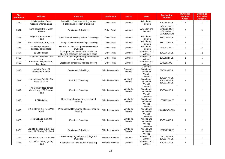| <b>Site</b><br><b>Reference</b> | <b>Address</b>                                                   | <b>Proposal</b>                                                                    | <b>Settlement</b>  | <b>Parish</b>        | <b>Ward</b>                                      | <b>Application</b><br><b>Number</b>                          | <b>Dwellings</b><br><b>Permitted</b><br>(Gross) | <b>Dwellings</b><br>Left to be<br><b>Built (Net)</b> |
|---------------------------------|------------------------------------------------------------------|------------------------------------------------------------------------------------|--------------------|----------------------|--------------------------------------------------|--------------------------------------------------------------|-------------------------------------------------|------------------------------------------------------|
| 3340                            | 2 Ollerton Fold Farm<br>Cottage, Ollerton Lane                   | Demolition of commercial dog kennel<br>building and erection of dwelling           | <b>Other Rural</b> | Withnell             | <b>Brindle and</b><br>Hoghton                    | 17/00963/FUL                                                 | $\mathbf{1}$                                    | $\mathbf{1}$                                         |
| 3351                            | Land adjacent to 8 Miller<br>Avenue                              | Erection of 9 dwellings                                                            | <b>Other Rural</b> | Withnell             | Wheelton and<br>Withnell                         | 17/00913/OUT<br>17/00225/OUT<br>18/00800/OUT<br>19/01180/REM | 9                                               | 9                                                    |
| 3403                            | Edge End Farm, Bolton<br>Road                                    | Subdivision of dwelling to form 2 dwellings                                        | <b>Other Rural</b> | Withnell             | Brindle and<br>Hoghton                           | 18/00297/FUL                                                 | $\overline{2}$                                  | $\mathbf{1}$                                         |
| 3433                            | Moss Side Farm, Bury Lane                                        | Change of use of outbuilding to dwelling                                           | <b>Other Rural</b> | Withnell             | <b>Brindle and</b><br>Hoghton                    | 18/00789/FUL                                                 | $\mathbf{1}$                                    | $\mathbf{1}$                                         |
| 3443                            | Workshop, Edge End<br>Terrace, Bolton Road                       | Demolition of workshop and erection of 2<br>dwellings                              | <b>Other Rural</b> | Withnell             | <b>Brindle and</b><br>Hoghton                    | 18/00874/OUT                                                 | 2                                               | $\overline{2}$                                       |
| 3464                            | 26 Bolton Road                                                   | Change of use of shop with residential<br>above to osteopath clinic on both floors | <b>Other Rural</b> | Withnell             | Wheelton and<br>Withnell                         | 19/00351/FUL                                                 | $\mathbf 0$                                     | $-1$                                                 |
| 3469                            | Woodsfold Saw Mill, Dole<br>Lane                                 | Demolition of storage building and erection<br>of dwelling                         | <b>Other Rural</b> | Withnell             | Wheelton and<br>Withnell                         | 19/00522/FUL                                                 | $\mathbf{1}$                                    | $\mathbf{1}$                                         |
| 3510                            | Boardman Heights Farm,<br>Bury Lane                              | Erection of agricultural workers dwelling                                          | <b>Other Rural</b> | Withnell             | Wheelton and<br>Withnell                         | 19/00661/OUT                                                 | $\mathbf{1}$                                    | $\mathbf{1}$                                         |
| 2493                            | Land 40m East of 6<br>Woodside Avenue                            | Erection of 2 dwellings                                                            | Whittle-le-Woods   | Clayton-le-<br>Woods | Clayton-le-<br>Woods and<br>Whittle-le-<br>Woods | 07/01034/FUL                                                 | $\overline{2}$                                  | $\overline{2}$                                       |
| 2867                            | Land adjacent Dolphin Rise,<br><b>Millstone Close</b>            | Erection of dwelling                                                               | Whittle-le-Woods   | Whittle-le-<br>Woods | Clayton-le-<br>Woods and<br>Whittle-le-<br>Woods | 12/01167/FUL<br>15/01202/FUL<br>18/01118/FUL                 | $\mathbf{1}$                                    | $\mathbf{1}$                                         |
| 3099                            | <b>Two Corners Residential</b><br>Care Home, 179 Preston<br>Road | Erection of dwelling                                                               | Whittle-le-Woods   | Whittle-le-<br>Woods | Clayton-le-<br>Woods and<br>Whittle-le-<br>Woods | 15/00601/FUL                                                 | $\mathbf{1}$                                    | $\mathbf{1}$                                         |
| 3306                            | 2 Cliffe Drive                                                   | Demolition of garage and erection of<br>dwelling                                   | Whittle-le-Woods   | Whittle-le-<br>Woods | Clayton-le-<br>Woods and<br>Whittle-le-<br>Woods | 16/01135/OUT                                                 | $\mathbf{1}$                                    | $\mathbf{1}$                                         |
| 3408                            | D & B stores, 1-3 Rock Villa<br>Road                             | Prior approval for change of use of shop to<br>dwelling                            | Whittle-le-Woods   | Whittle-le-<br>Woods | Clayton-le-<br>Woods and<br>Whittle-le-<br>Woods | 18/00441/P3PAN                                               | $\mathbf{1}$                                    | $\mathbf{1}$                                         |
| 3428                            | Rose Cottage, Kem Mill<br>Lane                                   | Erection of dwelling                                                               | Whittle-le-Woods   | Whittle-le-<br>Woods | Clayton-le-<br>Woods and<br>Whittle-le-<br>Woods | 18/00189/FUL                                                 | $\mathbf{1}$                                    | $\mathbf{1}$                                         |
| 3478                            | Land to the rear of 173, 175<br>and 179 Chorley Old Road         | Erection of 2 dwellings                                                            | Whittle-le-Woods   | Whittle-le-<br>Woods | Clayton-le-<br>Woods and<br>Whittle-le-<br>Woods | 19/00467/OUT                                                 | 2                                               | $\overline{2}$                                       |
| 2202                            | Drinkwater Farm, Pike Lowe                                       | Conversion of agricultural buildings to 2<br>dwellings                             | Withnell/Brinscall | Withnell             | Wheelton and<br>Withnell                         | 06/00167/FUL<br>19/01147/FUL                                 | $\overline{2}$                                  | $\mathbf{1}$                                         |
| 3495                            | St Luke's Church, Quarry<br>Road                                 | Change of use from church to dwelling                                              | Withnell/Brinscall | Withnell             | Wheelton and<br>Withnell                         | 19/01031/FUL                                                 | $\mathbf{1}$                                    | $\mathbf{1}$                                         |